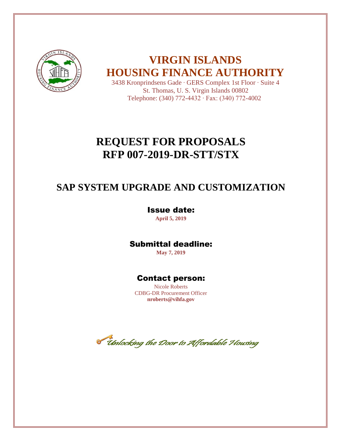

**VIRGIN ISLANDS HOUSING FINANCE AUTHORITY**

3438 Kronprindsens Gade ∙ GERS Complex 1st Floor ∙ Suite 4 St. Thomas, U. S. Virgin Islands 00802 Telephone: (340) 772-4432 ∙ Fax: (340) 772-4002

# **REQUEST FOR PROPOSALS RFP 007-2019-DR-STT/STX**

# **SAP SYSTEM UPGRADE AND CUSTOMIZATION**

## Issue date:

**April 5, 2019**

## Submittal deadline:

**May 7, 2019**

## Contact person:

Nicole Roberts CDBG-DR Procurement Officer **nroberts@vihfa.gov**

Timlocking the Door to Affordable Housing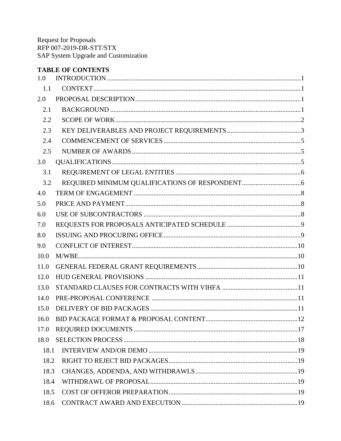## **TABLE OF CONTENTS**

| 1.0  |  |  |  |  |  |
|------|--|--|--|--|--|
| 1.1  |  |  |  |  |  |
| 2.0  |  |  |  |  |  |
| 2.1  |  |  |  |  |  |
| 2.2  |  |  |  |  |  |
| 2.3  |  |  |  |  |  |
| 2.4  |  |  |  |  |  |
| 2.5  |  |  |  |  |  |
| 3.0  |  |  |  |  |  |
| 3.1  |  |  |  |  |  |
| 3.2  |  |  |  |  |  |
| 4.0  |  |  |  |  |  |
| 5.0  |  |  |  |  |  |
| 6.0  |  |  |  |  |  |
| 7.0  |  |  |  |  |  |
| 8.0  |  |  |  |  |  |
| 9.0  |  |  |  |  |  |
| 10.0 |  |  |  |  |  |
| 11.0 |  |  |  |  |  |
| 12.0 |  |  |  |  |  |
| 13.0 |  |  |  |  |  |
| 14.0 |  |  |  |  |  |
| 15.0 |  |  |  |  |  |
| 16.0 |  |  |  |  |  |
| 17.0 |  |  |  |  |  |
| 18.0 |  |  |  |  |  |
| 18.1 |  |  |  |  |  |
| 18.2 |  |  |  |  |  |
| 18.3 |  |  |  |  |  |
| 18.4 |  |  |  |  |  |
| 18.5 |  |  |  |  |  |
| 18.6 |  |  |  |  |  |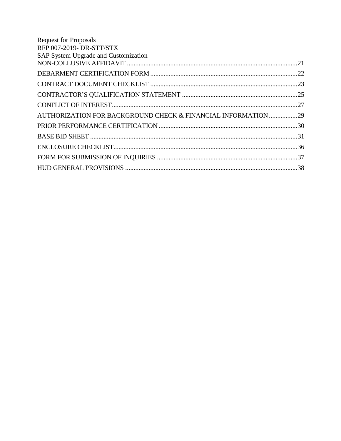| <b>Request for Proposals</b>                                  |  |
|---------------------------------------------------------------|--|
| RFP 007-2019- DR-STT/STX                                      |  |
| SAP System Upgrade and Customization                          |  |
|                                                               |  |
|                                                               |  |
|                                                               |  |
|                                                               |  |
|                                                               |  |
| AUTHORIZATION FOR BACKGROUND CHECK & FINANCIAL INFORMATION 29 |  |
|                                                               |  |
|                                                               |  |
|                                                               |  |
|                                                               |  |
|                                                               |  |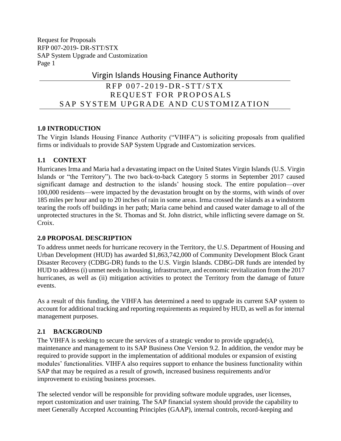## Virgin Islands Housing Finance Authority

## RFP 007-2019-DR-STT/STX REQUEST FOR PROPOSALS SAP SYSTEM UPGRADE AND CUSTOMIZATION

## <span id="page-3-0"></span>**1.0 INTRODUCTION**

The Virgin Islands Housing Finance Authority ("VIHFA") is soliciting proposals from qualified firms or individuals to provide SAP System Upgrade and Customization services.

## <span id="page-3-1"></span>**1.1 CONTEXT**

Hurricanes Irma and Maria had a devastating impact on the United States Virgin Islands (U.S. Virgin Islands or "the Territory"). The two back-to-back Category 5 storms in September 2017 caused significant damage and destruction to the islands' housing stock. The entire population—over 100,000 residents—were impacted by the devastation brought on by the storms, with winds of over 185 miles per hour and up to 20 inches of rain in some areas. Irma crossed the islands as a windstorm tearing the roofs off buildings in her path; Maria came behind and caused water damage to all of the unprotected structures in the St. Thomas and St. John district, while inflicting severe damage on St. Croix.

## <span id="page-3-2"></span>**2.0 PROPOSAL DESCRIPTION**

To address unmet needs for hurricane recovery in the Territory, the U.S. Department of Housing and Urban Development (HUD) has awarded \$1,863,742,000 of Community Development Block Grant Disaster Recovery (CDBG-DR) funds to the U.S. Virgin Islands. CDBG-DR funds are intended by HUD to address (i) unmet needs in housing, infrastructure, and economic revitalization from the 2017 hurricanes, as well as (ii) mitigation activities to protect the Territory from the damage of future events.

As a result of this funding, the VIHFA has determined a need to upgrade its current SAP system to account for additional tracking and reporting requirements as required by HUD, as well as for internal management purposes.

## <span id="page-3-3"></span>**2.1 BACKGROUND**

The VIHFA is seeking to secure the services of a strategic vendor to provide upgrade(s), maintenance and management to its SAP Business One Version 9.2. In addition, the vendor may be required to provide support in the implementation of additional modules or expansion of existing modules' functionalities. VIHFA also requires support to enhance the business functionality within SAP that may be required as a result of growth, increased business requirements and/or improvement to existing business processes.

The selected vendor will be responsible for providing software module upgrades, user licenses, report customization and user training. The SAP financial system should provide the capability to meet Generally Accepted Accounting Principles (GAAP), internal controls, record-keeping and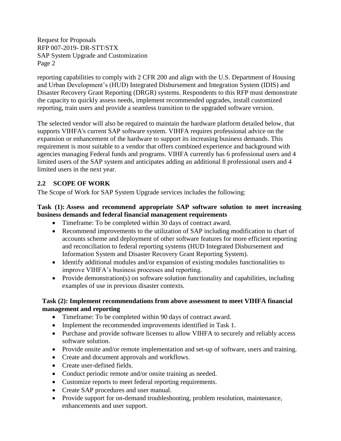reporting capabilities to comply with 2 CFR 200 and align with the U.S. Department of Housing and Urban Development's (HUD) Integrated Disbursement and Integration System (IDIS) and Disaster Recovery Grant Reporting (DRGR) systems. Respondents to this RFP must demonstrate the capacity to quickly assess needs, implement recommended upgrades, install customized reporting, train users and provide a seamless transition to the upgraded software version.

The selected vendor will also be required to maintain the hardware platform detailed below, that supports VIHFA's current SAP software system. VIHFA requires professional advice on the expansion or enhancement of the hardware to support its increasing business demands. This requirement is most suitable to a vendor that offers combined experience and background with agencies managing Federal funds and programs. VIHFA currently has 6 professional users and 4 limited users of the SAP system and anticipates adding an additional 8 professional users and 4 limited users in the next year.

## <span id="page-4-0"></span>**2.2 SCOPE OF WORK**

The Scope of Work for SAP System Upgrade services includes the following:

#### **Task (1): Assess and recommend appropriate SAP software solution to meet increasing business demands and federal financial management requirements**

- Timeframe: To be completed within 30 days of contract award.
- Recommend improvements to the utilization of SAP including modification to chart of accounts scheme and deployment of other software features for more efficient reporting and reconciliation to federal reporting systems (HUD Integrated Disbursement and Information System and Disaster Recovery Grant Reporting System).
- Identify additional modules and/or expansion of existing modules functionalities to improve VIHFA's business processes and reporting.
- Provide demonstration(s) on software solution functionality and capabilities, including examples of use in previous disaster contexts.

### **Task (2): Implement recommendations from above assessment to meet VIHFA financial management and reporting**

- Timeframe: To be completed within 90 days of contract award.
- Implement the recommended improvements identified in Task 1.
- Purchase and provide software licenses to allow VIHFA to securely and reliably access software solution.
- Provide onsite and/or remote implementation and set-up of software, users and training.
- Create and document approvals and workflows.
- Create user-defined fields.
- Conduct periodic remote and/or onsite training as needed.
- Customize reports to meet federal reporting requirements.
- Create SAP procedures and user manual.
- Provide support for on-demand troubleshooting, problem resolution, maintenance, enhancements and user support.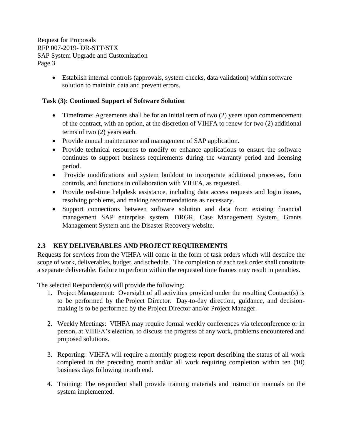> • Establish internal controls (approvals, system checks, data validation) within software solution to maintain data and prevent errors.

### **Task (3): Continued Support of Software Solution**

- Timeframe: Agreements shall be for an initial term of two (2) years upon commencement of the contract, with an option, at the discretion of VIHFA to renew for two (2) additional terms of two (2) years each.
- Provide annual maintenance and management of SAP application.
- Provide technical resources to modify or enhance applications to ensure the software continues to support business requirements during the warranty period and licensing period.
- Provide modifications and system buildout to incorporate additional processes, form controls, and functions in collaboration with VIHFA, as requested.
- Provide real-time helpdesk assistance, including data access requests and login issues, resolving problems, and making recommendations as necessary.
- Support connections between software solution and data from existing financial management SAP enterprise system, DRGR, Case Management System, Grants Management System and the Disaster Recovery website.

## <span id="page-5-0"></span>**2.3 KEY DELIVERABLES AND PROJECT REQUIREMENTS**

Requests for services from the VIHFA will come in the form of task orders which will describe the scope of work, deliverables, budget, and schedule. The completion of each task order shall constitute a separate deliverable. Failure to perform within the requested time frames may result in penalties.

The selected Respondent(s) will provide the following:

- 1. Project Management: Oversight of all activities provided under the resulting Contract(s) is to be performed by the Project Director. Day-to-day direction, guidance, and decisionmaking is to be performed by the Project Director and/or Project Manager.
- 2. Weekly Meetings: VIHFA may require formal weekly conferences via teleconference or in person, at VIHFA's election, to discuss the progress of any work, problems encountered and proposed solutions.
- 3. Reporting: VIHFA will require a monthly progress report describing the status of all work completed in the preceding month and/or all work requiring completion within ten (10) business days following month end.
- 4. Training: The respondent shall provide training materials and instruction manuals on the system implemented.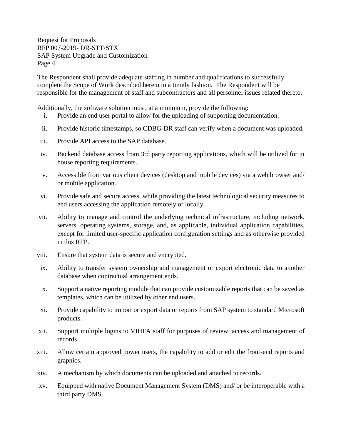The Respondent shall provide adequate staffing in number and qualifications to successfully complete the Scope of Work described herein in a timely fashion. The Respondent will be responsible for the management of staff and subcontractors and all personnel issues related thereto.

Additionally, the software solution must, at a minimum, provide the following:

- i. Provide an end user portal to allow for the uploading of supporting documentation.
- ii. Provide historic timestamps, so CDBG-DR staff can verify when a document was uploaded.
- iii. Provide API access to the SAP database.
- iv. Backend database access from 3rd party reporting applications, which will be utilized for in house reporting requirements.
- v. Accessible from various client devices (desktop and mobile devices) via a web browser and/ or mobile application.
- vi. Provide safe and secure access, while providing the latest technological security measures to end users accessing the application remotely or locally.
- vii. Ability to manage and control the underlying technical infrastructure, including network, servers, operating systems, storage, and, as applicable, individual application capabilities, except for limited user-specific application configuration settings and as otherwise provided in this RFP.
- viii. Ensure that system data is secure and encrypted.
- ix. Ability to transfer system ownership and management or export electronic data to another database when contractual arrangement ends.
- x. Support a native reporting module that can provide customizable reports that can be saved as templates, which can be utilized by other end users.
- xi. Provide capability to import or export data or reports from SAP system to standard Microsoft products.
- xii. Support multiple logins to VIHFA staff for purposes of review, access and management of records.
- xiii. Allow certain approved power users, the capability to add or edit the front-end reports and graphics.
- xiv. A mechanism by which documents can be uploaded and attached to records.
- xv. Equipped with native Document Management System (DMS) and/ or be interoperable with a third party DMS.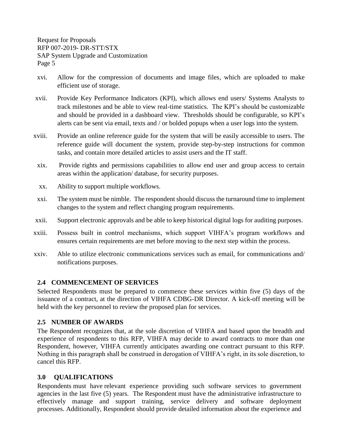- xvi. Allow for the compression of documents and image files, which are uploaded to make efficient use of storage.
- xvii. Provide Key Performance Indicators (KPI), which allows end users/ Systems Analysts to track milestones and be able to view real-time statistics. The KPI's should be customizable and should be provided in a dashboard view. Thresholds should be configurable, so KPI's alerts can be sent via email, texts and / or bolded popups when a user logs into the system.
- xviii. Provide an online reference guide for the system that will be easily accessible to users. The reference guide will document the system, provide step-by-step instructions for common tasks, and contain more detailed articles to assist users and the IT staff.
- xix. Provide rights and permissions capabilities to allow end user and group access to certain areas within the application/ database, for security purposes.
- xx. Ability to support multiple workflows.
- xxi. The system must be nimble. The respondent should discuss the turnaround time to implement changes to the system and reflect changing program requirements.
- xxii. Support electronic approvals and be able to keep historical digital logs for auditing purposes.
- xxiii. Possess built in control mechanisms, which support VIHFA's program workflows and ensures certain requirements are met before moving to the next step within the process.
- xxiv. Able to utilize electronic communications services such as email, for communications and/ notifications purposes.

### <span id="page-7-0"></span>**2.4 COMMENCEMENT OF SERVICES**

Selected Respondents must be prepared to commence these services within five (5) days of the issuance of a contract, at the direction of VIHFA CDBG-DR Director. A kick-off meeting will be held with the key personnel to review the proposed plan for services.

### <span id="page-7-1"></span>**2.5 NUMBER OF AWARDS**

The Respondent recognizes that, at the sole discretion of VIHFA and based upon the breadth and experience of respondents to this RFP, VIHFA may decide to award contracts to more than one Respondent, however, VIHFA currently anticipates awarding one contract pursuant to this RFP. Nothing in this paragraph shall be construed in derogation of VIHFA's right, in its sole discretion, to cancel this RFP.

### <span id="page-7-2"></span>**3.0 QUALIFICATIONS**

Respondents must have relevant experience providing such software services to government agencies in the last five (5) years. The Respondent must have the administrative infrastructure to effectively manage and support training, service delivery and software deployment processes. Additionally, Respondent should provide detailed information about the experience and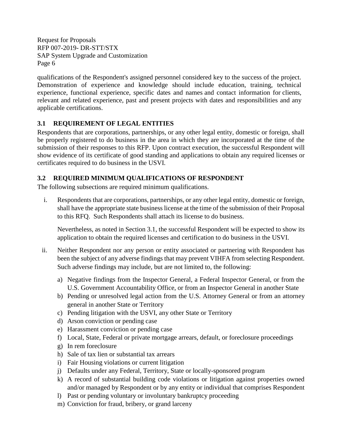qualifications of the Respondent's assigned personnel considered key to the success of the project. Demonstration of experience and knowledge should include education, training, technical experience, functional experience, specific dates and names and contact information for clients, relevant and related experience, past and present projects with dates and responsibilities and any applicable certifications.

## <span id="page-8-0"></span>**3.1 REQUIREMENT OF LEGAL ENTITIES**

Respondents that are corporations, partnerships, or any other legal entity, domestic or foreign, shall be properly registered to do business in the area in which they are incorporated at the time of the submission of their responses to this RFP. Upon contract execution, the successful Respondent will show evidence of its certificate of good standing and applications to obtain any required licenses or certificates required to do business in the USVI.

### <span id="page-8-1"></span>**3.2 REQUIRED MINIMUM QUALIFICATIONS OF RESPONDENT**

The following subsections are required minimum qualifications.

i. Respondents that are corporations, partnerships, or any other legal entity, domestic or foreign, shall have the appropriate state business license at the time of the submission of their Proposal to this RFQ. Such Respondents shall attach its license to do business.

Nevertheless, as noted in Section 3.1, the successful Respondent will be expected to show its application to obtain the required licenses and certification to do business in the USVI.

- ii. Neither Respondent nor any person or entity associated or partnering with Respondent has been the subject of any adverse findings that may prevent VIHFA from selecting Respondent. Such adverse findings may include, but are not limited to, the following:
	- a) Negative findings from the Inspector General, a Federal Inspector General, or from the U.S. Government Accountability Office, or from an Inspector General in another State
	- b) Pending or unresolved legal action from the U.S. Attorney General or from an attorney general in another State or Territory
	- c) Pending litigation with the USVI, any other State or Territory
	- d) Arson conviction or pending case
	- e) Harassment conviction or pending case
	- f) Local, State, Federal or private mortgage arrears, default, or foreclosure proceedings
	- g) In rem foreclosure
	- h) Sale of tax lien or substantial tax arrears
	- i) Fair Housing violations or current litigation
	- j) Defaults under any Federal, Territory, State or locally-sponsored program
	- k) A record of substantial building code violations or litigation against properties owned and/or managed by Respondent or by any entity or individual that comprises Respondent
	- l) Past or pending voluntary or involuntary bankruptcy proceeding
	- m) Conviction for fraud, bribery, or grand larceny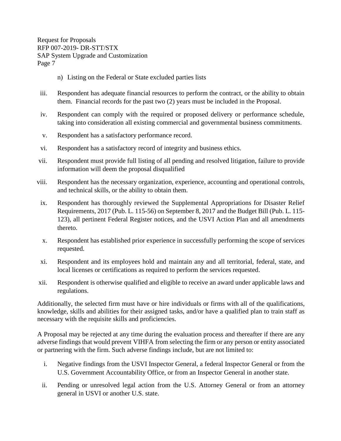- n) Listing on the Federal or State excluded parties lists
- iii. Respondent has adequate financial resources to perform the contract, or the ability to obtain them. Financial records for the past two (2) years must be included in the Proposal.
- iv. Respondent can comply with the required or proposed delivery or performance schedule, taking into consideration all existing commercial and governmental business commitments.
- v. Respondent has a satisfactory performance record.
- vi. Respondent has a satisfactory record of integrity and business ethics.
- vii. Respondent must provide full listing of all pending and resolved litigation, failure to provide information will deem the proposal disqualified
- viii. Respondent has the necessary organization, experience, accounting and operational controls, and technical skills, or the ability to obtain them.
- ix. Respondent has thoroughly reviewed the Supplemental Appropriations for Disaster Relief Requirements, 2017 (Pub. L. 115-56) on September 8, 2017 and the Budget Bill (Pub. L. 115- 123), all pertinent Federal Register notices, and the USVI Action Plan and all amendments thereto.
- x. Respondent has established prior experience in successfully performing the scope of services requested.
- xi. Respondent and its employees hold and maintain any and all territorial, federal, state, and local licenses or certifications as required to perform the services requested.
- xii. Respondent is otherwise qualified and eligible to receive an award under applicable laws and regulations.

Additionally, the selected firm must have or hire individuals or firms with all of the qualifications, knowledge, skills and abilities for their assigned tasks, and/or have a qualified plan to train staff as necessary with the requisite skills and proficiencies.

A Proposal may be rejected at any time during the evaluation process and thereafter if there are any adverse findings that would prevent VIHFA from selecting the firm or any person or entity associated or partnering with the firm. Such adverse findings include, but are not limited to:

- i. Negative findings from the USVI Inspector General, a federal Inspector General or from the U.S. Government Accountability Office, or from an Inspector General in another state.
- ii. Pending or unresolved legal action from the U.S. Attorney General or from an attorney general in USVI or another U.S. state.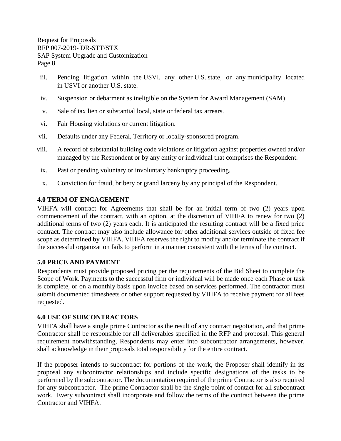- iii. Pending litigation within the USVI, any other U.S. state, or any municipality located in USVI or another U.S. state.
- iv. Suspension or debarment as ineligible on the System for Award Management (SAM).
- v. Sale of tax lien or substantial local, state or federal tax arrears.
- vi. Fair Housing violations or current litigation.
- vii. Defaults under any Federal, Territory or locally-sponsored program.
- viii. A record of substantial building code violations or litigation against properties owned and/or managed by the Respondent or by any entity or individual that comprises the Respondent.
- ix. Past or pending voluntary or involuntary bankruptcy proceeding.
- x. Conviction for fraud, bribery or grand larceny by any principal of the Respondent.

## <span id="page-10-0"></span>**4.0 TERM OF ENGAGEMENT**

VIHFA will contract for Agreements that shall be for an initial term of two (2) years upon commencement of the contract, with an option, at the discretion of VIHFA to renew for two (2) additional terms of two (2) years each. It is anticipated the resulting contract will be a fixed price contract. The contract may also include allowance for other additional services outside of fixed fee scope as determined by VIHFA. VIHFA reserves the right to modify and/or terminate the contract if the successful organization fails to perform in a manner consistent with the terms of the contract.

## <span id="page-10-1"></span>**5.0 PRICE AND PAYMENT**

Respondents must provide proposed pricing per the requirements of the Bid Sheet to complete the Scope of Work. Payments to the successful firm or individual will be made once each Phase or task is complete, or on a monthly basis upon invoice based on services performed. The contractor must submit documented timesheets or other support requested by VIHFA to receive payment for all fees requested.

### <span id="page-10-2"></span>**6.0 USE OF SUBCONTRACTORS**

VIHFA shall have a single prime Contractor as the result of any contract negotiation, and that prime Contractor shall be responsible for all deliverables specified in the RFP and proposal. This general requirement notwithstanding, Respondents may enter into subcontractor arrangements, however, shall acknowledge in their proposals total responsibility for the entire contract.

If the proposer intends to subcontract for portions of the work, the Proposer shall identify in its proposal any subcontractor relationships and include specific designations of the tasks to be performed by the subcontractor. The documentation required of the prime Contractor is also required for any subcontractor. The prime Contractor shall be the single point of contact for all subcontract work. Every subcontract shall incorporate and follow the terms of the contract between the prime Contractor and VIHFA.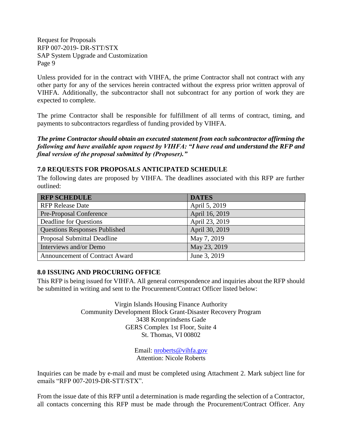Unless provided for in the contract with VIHFA, the prime Contractor shall not contract with any other party for any of the services herein contracted without the express prior written approval of VIHFA. Additionally, the subcontractor shall not subcontract for any portion of work they are expected to complete.

The prime Contractor shall be responsible for fulfillment of all terms of contract, timing, and payments to subcontractors regardless of funding provided by VIHFA.

*The prime Contractor should obtain an executed statement from each subcontractor affirming the following and have available upon request by VIHFA: "I have read and understand the RFP and final version of the proposal submitted by (Proposer)."*

#### <span id="page-11-0"></span>**7.0 REQUESTS FOR PROPOSALS ANTICIPATED SCHEDULE**

The following dates are proposed by VIHFA. The deadlines associated with this RFP are further outlined:

| <b>RFP SCHEDULE</b>                  | <b>DATES</b>   |
|--------------------------------------|----------------|
| <b>RFP Release Date</b>              | April 5, 2019  |
| Pre-Proposal Conference              | April 16, 2019 |
| Deadline for Questions               | April 23, 2019 |
| <b>Questions Responses Published</b> | April 30, 2019 |
| Proposal Submittal Deadline          | May 7, 2019    |
| Interviews and/or Demo               | May 23, 2019   |
| Announcement of Contract Award       | June 3, 2019   |

### <span id="page-11-1"></span>**8.0 ISSUING AND PROCURING OFFICE**

This RFP is being issued for VIHFA. All general correspondence and inquiries about the RFP should be submitted in writing and sent to the Procurement/Contract Officer listed below:

> Virgin Islands Housing Finance Authority Community Development Block Grant-Disaster Recovery Program 3438 Kronprindsens Gade GERS Complex 1st Floor, Suite 4 St. Thomas, VI 00802

> > Email: [nroberts@vihfa.gov](mailto:nroberts@vihfa.gov) Attention: Nicole Roberts

Inquiries can be made by e-mail and must be completed using Attachment 2. Mark subject line for emails "RFP 007-2019-DR-STT/STX".

From the issue date of this RFP until a determination is made regarding the selection of a Contractor, all contacts concerning this RFP must be made through the Procurement/Contract Officer. Any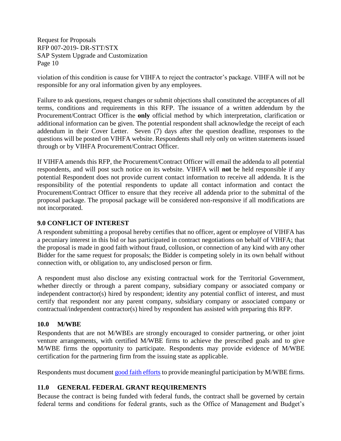violation of this condition is cause for VIHFA to reject the contractor's package. VIHFA will not be responsible for any oral information given by any employees.

Failure to ask questions, request changes or submit objections shall constituted the acceptances of all terms, conditions and requirements in this RFP. The issuance of a written addendum by the Procurement/Contract Officer is the **only** official method by which interpretation, clarification or additional information can be given. The potential respondent shall acknowledge the receipt of each addendum in their Cover Letter. Seven (7) days after the question deadline, responses to the questions will be posted on VIHFA website. Respondents shall rely only on written statements issued through or by VIHFA Procurement/Contract Officer.

If VIHFA amends this RFP, the Procurement/Contract Officer will email the addenda to all potential respondents, and will post such notice on its website. VIHFA will **not** be held responsible if any potential Respondent does not provide current contact information to receive all addenda. It is the responsibility of the potential respondents to update all contact information and contact the Procurement/Contract Officer to ensure that they receive all addenda prior to the submittal of the proposal package. The proposal package will be considered non-responsive if all modifications are not incorporated.

### <span id="page-12-0"></span>**9.0 CONFLICT OF INTEREST**

A respondent submitting a proposal hereby certifies that no officer, agent or employee of VIHFA has a pecuniary interest in this bid or has participated in contract negotiations on behalf of VIHFA; that the proposal is made in good faith without fraud, collusion, or connection of any kind with any other Bidder for the same request for proposals; the Bidder is competing solely in its own behalf without connection with, or obligation to, any undisclosed person or firm.

A respondent must also disclose any existing contractual work for the Territorial Government, whether directly or through a parent company, subsidiary company or associated company or independent contractor(s) hired by respondent; identity any potential conflict of interest, and must certify that respondent nor any parent company, subsidiary company or associated company or contractual/independent contractor(s) hired by respondent has assisted with preparing this RFP.

### <span id="page-12-1"></span>**10.0 M/WBE**

Respondents that are not M/WBEs are strongly encouraged to consider partnering, or other joint venture arrangements, with certified M/WBE firms to achieve the prescribed goals and to give M/WBE firms the opportunity to participate. Respondents may provide evidence of M/WBE certification for the partnering firm from the issuing state as applicable.

Respondents must document [good faith efforts](http://www.ogs.ny.gov/BU/DC/Docs/PDF/GoodFaithEfforts143Point8.pdf) [t](http://www.ogs.ny.gov/BU/DC/Docs/PDF/GoodFaithEfforts143Point8.pdf)o provide meaningful participation by M/WBE firms.

### <span id="page-12-2"></span>**11.0 GENERAL FEDERAL GRANT REQUIREMENTS**

Because the contract is being funded with federal funds, the contract shall be governed by certain federal terms and conditions for federal grants, such as the Office of Management and Budget's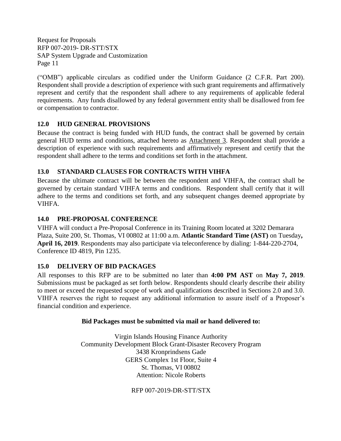("OMB") applicable circulars as codified under the Uniform Guidance (2 C.F.R. Part 200). Respondent shall provide a description of experience with such grant requirements and affirmatively represent and certify that the respondent shall adhere to any requirements of applicable federal requirements. Any funds disallowed by any federal government entity shall be disallowed from fee or compensation to contractor.

## <span id="page-13-0"></span>**12.0 HUD GENERAL PROVISIONS**

Because the contract is being funded with HUD funds, the contract shall be governed by certain general HUD terms and conditions, attached hereto as Attachment 3. Respondent shall provide a description of experience with such requirements and affirmatively represent and certify that the respondent shall adhere to the terms and conditions set forth in the attachment.

## <span id="page-13-1"></span>**13.0 STANDARD CLAUSES FOR CONTRACTS WITH VIHFA**

Because the ultimate contract will be between the respondent and VIHFA, the contract shall be governed by certain standard VIHFA terms and conditions. Respondent shall certify that it will adhere to the terms and conditions set forth, and any subsequent changes deemed appropriate by VIHFA.

### <span id="page-13-2"></span>**14.0 PRE-PROPOSAL CONFERENCE**

VIHFA will conduct a Pre-Proposal Conference in its Training Room located at 3202 Demarara Plaza, Suite 200, St. Thomas, VI 00802 at 11:00 a.m. **Atlantic Standard Time (AST)** on Tuesday**, April 16, 2019**. Respondents may also participate via teleconference by dialing: 1-844-220-2704, Conference ID 4819, Pin 1235.

### <span id="page-13-3"></span>**15.0 DELIVERY OF BID PACKAGES**

All responses to this RFP are to be submitted no later than **4:00 PM AST** on **May 7, 2019**. Submissions must be packaged as set forth below. Respondents should clearly describe their ability to meet or exceed the requested scope of work and qualifications described in Sections 2.0 and 3.0. VIHFA reserves the right to request any additional information to assure itself of a Proposer's financial condition and experience.

### **Bid Packages must be submitted via mail or hand delivered to:**

Virgin Islands Housing Finance Authority Community Development Block Grant-Disaster Recovery Program 3438 Kronprindsens Gade GERS Complex 1st Floor, Suite 4 St. Thomas, VI 00802 Attention: Nicole Roberts

RFP 007-2019-DR-STT/STX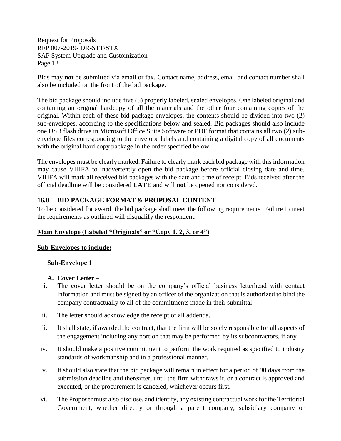Bids may **not** be submitted via email or fax. Contact name, address, email and contact number shall also be included on the front of the bid package.

The bid package should include five (5) properly labeled, sealed envelopes. One labeled original and containing an original hardcopy of all the materials and the other four containing copies of the original. Within each of these bid package envelopes, the contents should be divided into two (2) sub-envelopes, according to the specifications below and sealed. Bid packages should also include one USB flash drive in Microsoft Office Suite Software or PDF format that contains all two (2) subenvelope files corresponding to the envelope labels and containing a digital copy of all documents with the original hard copy package in the order specified below.

The envelopes must be clearly marked. Failure to clearly mark each bid package with this information may cause VIHFA to inadvertently open the bid package before official closing date and time. VIHFA will mark all received bid packages with the date and time of receipt. Bids received after the official deadline will be considered **LATE** and will **not** be opened nor considered.

## <span id="page-14-0"></span>**16.0 BID PACKAGE FORMAT & PROPOSAL CONTENT**

To be considered for award, the bid package shall meet the following requirements. Failure to meet the requirements as outlined will disqualify the respondent.

### **Main Envelope (Labeled "Originals" or "Copy 1, 2, 3, or 4")**

### **Sub-Envelopes to include:**

### **Sub-Envelope 1**

### **A. Cover Letter** –

- i. The cover letter should be on the company's official business letterhead with contact information and must be signed by an officer of the organization that is authorized to bind the company contractually to all of the commitments made in their submittal.
- ii. The letter should acknowledge the receipt of all addenda.
- iii. It shall state, if awarded the contract, that the firm will be solely responsible for all aspects of the engagement including any portion that may be performed by its subcontractors, if any.
- iv. It should make a positive commitment to perform the work required as specified to industry standards of workmanship and in a professional manner.
- v. It should also state that the bid package will remain in effect for a period of 90 days from the submission deadline and thereafter, until the firm withdraws it, or a contract is approved and executed, or the procurement is canceled, whichever occurs first.
- vi. The Proposer must also disclose, and identify, any existing contractual work for the Territorial Government, whether directly or through a parent company, subsidiary company or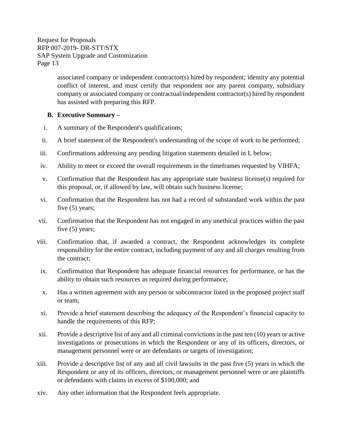> associated company or independent contractor(s) hired by respondent; identity any potential conflict of interest, and must certify that respondent nor any parent company, subsidiary company or associated company or contractual/independent contractor(s) hired by respondent has assisted with preparing this RFP.

### **B. Executive Summary –**

- i. A summary of the Respondent's qualifications;
- ii. A brief statement of the Respondent's understanding of the scope of work to be performed;
- iii. Confirmations addressing any pending litigation statements detailed in L below;
- iv. Ability to meet or exceed the overall requirements in the timeframes requested by VIHFA;
- v. Confirmation that the Respondent has any appropriate state business license(s) required for this proposal, or, if allowed by law, will obtain such business license;
- vi. Confirmation that the Respondent has not had a record of substandard work within the past five (5) years;
- vii. Confirmation that the Respondent has not engaged in any unethical practices within the past five (5) years;
- viii. Confirmation that, if awarded a contract, the Respondent acknowledges its complete responsibility for the entire contract, including payment of any and all charges resulting from the contract;
- ix. Confirmation that Respondent has adequate financial resources for performance, or has the ability to obtain such resources as required during performance;
- x. Has a written agreement with any person or subcontractor listed in the proposed project staff or team;
- xi. Provide a brief statement describing the adequacy of the Respondent's financial capacity to handle the requirements of this RFP;
- xii. Provide a descriptive list of any and all criminal convictions in the past ten (10) years or active investigations or prosecutions in which the Respondent or any of its officers, directors, or management personnel were or are defendants or targets of investigation;
- xiii. Provide a descriptive list of any and all civil lawsuits in the past five (5) years in which the Respondent or any of its officers, directors, or management personnel were or are plaintiffs or defendants with claims in excess of \$100,000; and
- xiv. Any other information that the Respondent feels appropriate.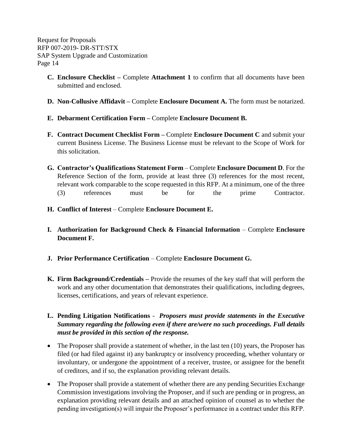- **C. Enclosure Checklist –** Complete **Attachment 1** to confirm that all documents have been submitted and enclosed.
- **D. Non-Collusive Affidavit –** Complete **Enclosure Document A.** The form must be notarized.
- **E. Debarment Certification Form –** Complete **Enclosure Document B.**
- **F. Contract Document Checklist Form –** Complete **Enclosure Document C** and submit your current Business License. The Business License must be relevant to the Scope of Work for this solicitation.
- **G. Contractor's Qualifications Statement Form** Complete **Enclosure Document D**. For the Reference Section of the form, provide at least three (3) references for the most recent, relevant work comparable to the scope requested in this RFP. At a minimum, one of the three (3) references must be for the prime Contractor.
- **H. Conflict of Interest** Complete **Enclosure Document E.**
- **I. Authorization for Background Check & Financial Information** Complete **Enclosure Document F.**
- **J. Prior Performance Certification**  Complete **Enclosure Document G.**
- **K. Firm Background/Credentials –** Provide the resumes of the key staff that will perform the work and any other documentation that demonstrates their qualifications, including degrees, licenses, certifications, and years of relevant experience.
- **L. Pending Litigation Notifications**  *Proposers must provide statements in the Executive Summary regarding the following even if there are/were no such proceedings. Full details must be provided in this section of the response.*
- The Proposer shall provide a statement of whether, in the last ten (10) years, the Proposer has filed (or had filed against it) any bankruptcy or insolvency proceeding, whether voluntary or involuntary, or undergone the appointment of a receiver, trustee, or assignee for the benefit of creditors, and if so, the explanation providing relevant details.
- The Proposer shall provide a statement of whether there are any pending Securities Exchange Commission investigations involving the Proposer, and if such are pending or in progress, an explanation providing relevant details and an attached opinion of counsel as to whether the pending investigation(s) will impair the Proposer's performance in a contract under this RFP.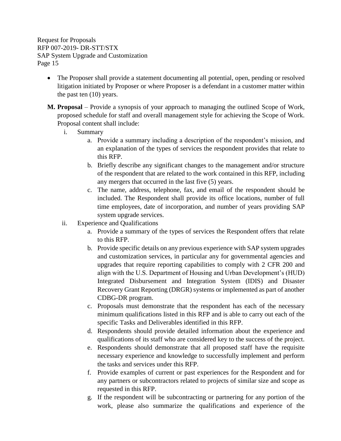- The Proposer shall provide a statement documenting all potential, open, pending or resolved litigation initiated by Proposer or where Proposer is a defendant in a customer matter within the past ten (10) years.
- **M. Proposal**  Provide a synopsis of your approach to managing the outlined Scope of Work, proposed schedule for staff and overall management style for achieving the Scope of Work. Proposal content shall include:
	- i. Summary
		- a. Provide a summary including a description of the respondent's mission, and an explanation of the types of services the respondent provides that relate to this RFP.
		- b. Briefly describe any significant changes to the management and/or structure of the respondent that are related to the work contained in this RFP, including any mergers that occurred in the last five (5) years.
		- c. The name, address, telephone, fax, and email of the respondent should be included. The Respondent shall provide its office locations, number of full time employees, date of incorporation, and number of years providing SAP system upgrade services.
	- ii. Experience and Qualifications
		- a. Provide a summary of the types of services the Respondent offers that relate to this RFP.
		- b. Provide specific details on any previous experience with SAP system upgrades and customization services, in particular any for governmental agencies and upgrades that require reporting capabilities to comply with 2 CFR 200 and align with the U.S. Department of Housing and Urban Development's (HUD) Integrated Disbursement and Integration System (IDIS) and Disaster Recovery Grant Reporting (DRGR) systems or implemented as part of another CDBG-DR program.
		- c. Proposals must demonstrate that the respondent has each of the necessary minimum qualifications listed in this RFP and is able to carry out each of the specific Tasks and Deliverables identified in this RFP.
		- d. Respondents should provide detailed information about the experience and qualifications of its staff who are considered key to the success of the project.
		- e. Respondents should demonstrate that all proposed staff have the requisite necessary experience and knowledge to successfully implement and perform the tasks and services under this RFP.
		- f. Provide examples of current or past experiences for the Respondent and for any partners or subcontractors related to projects of similar size and scope as requested in this RFP.
		- g. If the respondent will be subcontracting or partnering for any portion of the work, please also summarize the qualifications and experience of the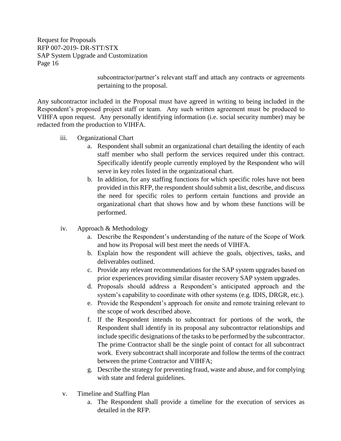> subcontractor/partner's relevant staff and attach any contracts or agreements pertaining to the proposal.

Any subcontractor included in the Proposal must have agreed in writing to being included in the Respondent's proposed project staff or team. Any such written agreement must be produced to VIHFA upon request. Any personally identifying information (i.e. social security number) may be redacted from the production to VIHFA.

- iii. Organizational Chart
	- a. Respondent shall submit an organizational chart detailing the identity of each staff member who shall perform the services required under this contract. Specifically identify people currently employed by the Respondent who will serve in key roles listed in the organizational chart.
	- b. In addition, for any staffing functions for which specific roles have not been provided in this RFP, the respondent should submit a list, describe, and discuss the need for specific roles to perform certain functions and provide an organizational chart that shows how and by whom these functions will be performed.
- iv. Approach & Methodology
	- a. Describe the Respondent's understanding of the nature of the Scope of Work and how its Proposal will best meet the needs of VIHFA.
	- b. Explain how the respondent will achieve the goals, objectives, tasks, and deliverables outlined.
	- c. Provide any relevant recommendations for the SAP system upgrades based on prior experiences providing similar disaster recovery SAP system upgrades.
	- d. Proposals should address a Respondent's anticipated approach and the system's capability to coordinate with other systems (e.g. IDIS, DRGR, etc.).
	- e. Provide the Respondent's approach for onsite and remote training relevant to the scope of work described above.
	- f. If the Respondent intends to subcontract for portions of the work, the Respondent shall identify in its proposal any subcontractor relationships and include specific designations of the tasks to be performed by the subcontractor. The prime Contractor shall be the single point of contact for all subcontract work. Every subcontract shall incorporate and follow the terms of the contract between the prime Contractor and VIHFA;
	- g. Describe the strategy for preventing fraud, waste and abuse, and for complying with state and federal guidelines.
- v. Timeline and Staffing Plan
	- a. The Respondent shall provide a timeline for the execution of services as detailed in the RFP.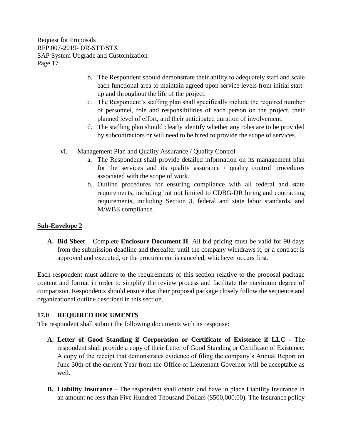- b. The Respondent should demonstrate their ability to adequately staff and scale each functional area to maintain agreed upon service levels from initial startup and throughout the life of the project.
- c. The Respondent's staffing plan shall specifically include the required number of personnel, role and responsibilities of each person on the project, their planned level of effort, and their anticipated duration of involvement.
- d. The staffing plan should clearly identify whether any roles are to be provided by subcontractors or will need to be hired to provide the scope of services.
- vi. Management Plan and Quality Assurance / Quality Control
	- a. The Respondent shall provide detailed information on its management plan for the services and its quality assurance / quality control procedures associated with the scope of work.
	- b. Outline procedures for ensuring compliance with all federal and state requirements, including but not limited to CDBG-DR hiring and contracting requirements, including Section 3, federal and state labor standards, and M/WBE compliance.

## **Sub-Envelope 2**

**A. Bid Sheet –** Complete **Enclosure Document H**. All bid pricing must be valid for 90 days from the submission deadline and thereafter until the company withdraws it, or a contract is approved and executed, or the procurement is canceled, whichever occurs first.

Each respondent must adhere to the requirements of this section relative to the proposal package content and format in order to simplify the review process and facilitate the maximum degree of comparison. Respondents should ensure that their proposal package closely follow the sequence and organizational outline described in this section.

## <span id="page-19-0"></span>**17.0 REQUIRED DOCUMENTS**

The respondent shall submit the following documents with its response:

- **A. Letter of Good Standing if Corporation or Certificate of Existence if LLC -** The respondent shall provide a copy of their Letter of Good Standing or Certificate of Existence. A copy of the receipt that demonstrates evidence of filing the company's Annual Report on June 30th of the current Year from the Office of Lieutenant Governor will be acceptable as well.
- **B. Liability Insurance** The respondent shall obtain and have in place Liability Insurance in an amount no less than Five Hundred Thousand Dollars (\$500,000.00). The Insurance policy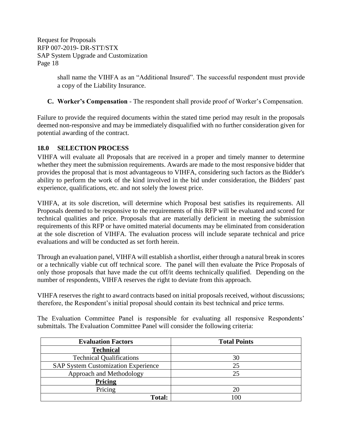> shall name the VIHFA as an "Additional Insured". The successful respondent must provide a copy of the Liability Insurance.

**C. Worker's Compensation** - The respondent shall provide proof of Worker's Compensation.

Failure to provide the required documents within the stated time period may result in the proposals deemed non-responsive and may be immediately disqualified with no further consideration given for potential awarding of the contract.

## <span id="page-20-0"></span>**18.0 SELECTION PROCESS**

VIHFA will evaluate all Proposals that are received in a proper and timely manner to determine whether they meet the submission requirements. Awards are made to the most responsive bidder that provides the proposal that is most advantageous to VIHFA, considering such factors as the Bidder's ability to perform the work of the kind involved in the bid under consideration, the Bidders' past experience, qualifications, etc. and not solely the lowest price.

VIHFA, at its sole discretion, will determine which Proposal best satisfies its requirements. All Proposals deemed to be responsive to the requirements of this RFP will be evaluated and scored for technical qualities and price. Proposals that are materially deficient in meeting the submission requirements of this RFP or have omitted material documents may be eliminated from consideration at the sole discretion of VIHFA. The evaluation process will include separate technical and price evaluations and will be conducted as set forth herein.

Through an evaluation panel, VIHFA will establish a shortlist, either through a natural break in scores or a technically viable cut off technical score. The panel will then evaluate the Price Proposals of only those proposals that have made the cut off/it deems technically qualified. Depending on the number of respondents, VIHFA reserves the right to deviate from this approach.

VIHFA reserves the right to award contracts based on initial proposals received, without discussions; therefore, the Respondent's initial proposal should contain its best technical and price terms.

The Evaluation Committee Panel is responsible for evaluating all responsive Respondents' submittals. The Evaluation Committee Panel will consider the following criteria:

| <b>Evaluation Factors</b>                  | <b>Total Points</b> |
|--------------------------------------------|---------------------|
| <b>Technical</b>                           |                     |
| <b>Technical Qualifications</b>            | 30                  |
| <b>SAP System Customization Experience</b> | 25                  |
| Approach and Methodology                   | 25                  |
| Pricing                                    |                     |
| Pricing                                    | 20                  |
| <b>Total:</b>                              | 100                 |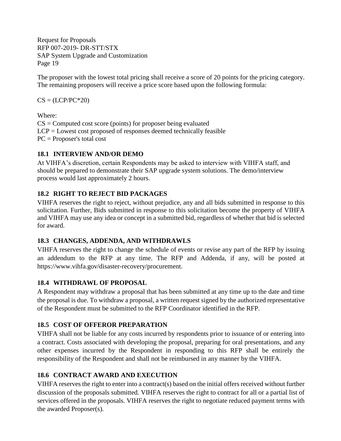The proposer with the lowest total pricing shall receive a score of 20 points for the pricing category. The remaining proposers will receive a price score based upon the following formula:

 $CS = (LCP/PC^*20)$ 

Where:

 $CS =$  Computed cost score (points) for proposer being evaluated LCP = Lowest cost proposed of responses deemed technically feasible PC = Proposer's total cost

## <span id="page-21-0"></span>**18.1 INTERVIEW AND/OR DEMO**

At VIHFA's discretion, certain Respondents may be asked to interview with VIHFA staff, and should be prepared to demonstrate their SAP upgrade system solutions. The demo/interview process would last approximately 2 hours.

## <span id="page-21-1"></span>**18.2 RIGHT TO REJECT BID PACKAGES**

VIHFA reserves the right to reject, without prejudice, any and all bids submitted in response to this solicitation. Further, Bids submitted in response to this solicitation become the property of VIHFA and VIHFA may use any idea or concept in a submitted bid, regardless of whether that bid is selected for award.

## <span id="page-21-2"></span>**18.3 CHANGES, ADDENDA, AND WITHDRAWLS**

VIHFA reserves the right to change the schedule of events or revise any part of the RFP by issuing an addendum to the RFP at any time. The RFP and Addenda, if any, will be posted at https://www.vihfa.gov/disaster-recovery/procurement.

## <span id="page-21-3"></span>**18.4 WITHDRAWL OF PROPOSAL**

A Respondent may withdraw a proposal that has been submitted at any time up to the date and time the proposal is due. To withdraw a proposal, a written request signed by the authorized representative of the Respondent must be submitted to the RFP Coordinator identified in the RFP.

## <span id="page-21-4"></span>**18.5 COST OF OFFEROR PREPARATION**

VIHFA shall not be liable for any costs incurred by respondents prior to issuance of or entering into a contract. Costs associated with developing the proposal, preparing for oral presentations, and any other expenses incurred by the Respondent in responding to this RFP shall be entirely the responsibility of the Respondent and shall not be reimbursed in any manner by the VIHFA.

## <span id="page-21-5"></span>**18.6 CONTRACT AWARD AND EXECUTION**

VIHFA reserves the right to enter into a contract(s) based on the initial offers received without further discussion of the proposals submitted. VIHFA reserves the right to contract for all or a partial list of services offered in the proposals. VIHFA reserves the right to negotiate reduced payment terms with the awarded Proposer(s).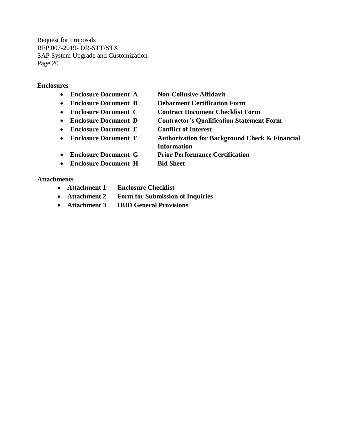#### **Enclosures**

- **Enclosure Document A Non-Collusive Affidavit**
- **Enclosure Document B Debarment Certification Form**
- **Enclosure Document C Contract Document Checklist Form**
- 
- **Enclosure Document E Conflict of Interest**
- 
- 
- 
- **Enclosure Document D Contractor's Qualification Statement Form**
	-
- **Enclosure Document F Authorization for Background Check & Financial Information**
- **Enclosure Document G Prior Performance Certification**
- **Enclosure Document H Bid Sheet**

#### **Attachments**

- **Attachment 1 Enclosure Checklist**
- **Attachment 2 Form for Submission of Inquiries**
- **Attachment 3 HUD General Provisions**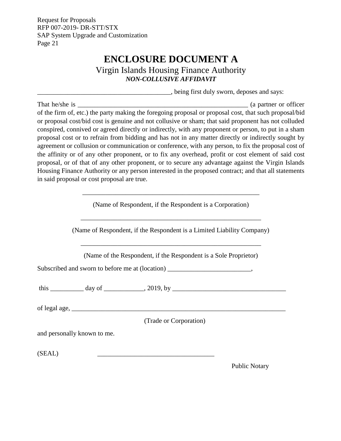# **ENCLOSURE DOCUMENT A**

Virgin Islands Housing Finance Authority *NON-COLLUSIVE AFFIDAVIT*

\_\_\_\_\_\_\_\_\_\_\_\_\_\_\_\_\_\_\_\_\_\_\_\_\_\_\_\_\_\_\_\_\_\_\_\_\_\_\_\_, being first duly sworn, deposes and says:

<span id="page-23-0"></span>That he/she is \_\_\_\_\_\_\_\_\_\_\_\_\_\_\_\_\_\_\_\_\_\_\_\_\_\_\_\_\_\_\_\_\_\_\_\_\_\_\_\_\_\_\_\_\_\_\_\_\_\_\_ (a partner or officer of the firm of, etc.) the party making the foregoing proposal or proposal cost, that such proposal/bid or proposal cost/bid cost is genuine and not collusive or sham; that said proponent has not colluded conspired, connived or agreed directly or indirectly, with any proponent or person, to put in a sham proposal cost or to refrain from bidding and has not in any matter directly or indirectly sought by agreement or collusion or communication or conference, with any person, to fix the proposal cost of the affinity or of any other proponent, or to fix any overhead, profit or cost element of said cost proposal, or of that of any other proponent, or to secure any advantage against the Virgin Islands Housing Finance Authority or any person interested in the proposed contract; and that all statements in said proposal or cost proposal are true.

|                             | (Name of Respondent, if the Respondent is a Corporation)                         |
|-----------------------------|----------------------------------------------------------------------------------|
|                             | (Name of Respondent, if the Respondent is a Limited Liability Company)           |
|                             | (Name of the Respondent, if the Respondent is a Sole Proprietor)                 |
|                             | Subscribed and sworn to before me at (location) ________________________________ |
|                             |                                                                                  |
|                             |                                                                                  |
|                             | (Trade or Corporation)                                                           |
| and personally known to me. |                                                                                  |
| (SEAL)                      |                                                                                  |
|                             |                                                                                  |

Public Notary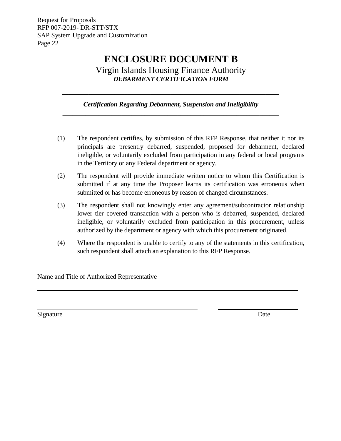# **ENCLOSURE DOCUMENT B**

Virgin Islands Housing Finance Authority *DEBARMENT CERTIFICATION FORM*

*Certification Regarding Debarment, Suspension and Ineligibility \_\_\_\_\_\_\_\_\_\_\_\_\_\_\_\_\_\_\_\_\_\_\_\_\_\_\_\_\_\_\_\_\_\_\_\_\_\_\_\_\_\_\_\_\_\_\_\_\_\_\_\_\_\_\_\_\_\_\_\_\_\_\_\_\_\_*

<span id="page-24-0"></span>*\_\_\_\_\_\_\_\_\_\_\_\_\_\_\_\_\_\_\_\_\_\_\_\_\_\_\_\_\_\_\_\_\_\_\_\_\_\_\_\_\_\_\_\_\_\_\_\_\_\_\_\_\_\_\_\_\_\_\_\_\_\_\_\_\_\_*

- (1) The respondent certifies, by submission of this RFP Response, that neither it nor its principals are presently debarred, suspended, proposed for debarment, declared ineligible, or voluntarily excluded from participation in any federal or local programs in the Territory or any Federal department or agency.
- (2) The respondent will provide immediate written notice to whom this Certification is submitted if at any time the Proposer learns its certification was erroneous when submitted or has become erroneous by reason of changed circumstances.
- (3) The respondent shall not knowingly enter any agreement/subcontractor relationship lower tier covered transaction with a person who is debarred, suspended, declared ineligible, or voluntarily excluded from participation in this procurement, unless authorized by the department or agency with which this procurement originated.
- (4) Where the respondent is unable to certify to any of the statements in this certification, such respondent shall attach an explanation to this RFP Response.

Name and Title of Authorized Representative

Signature Date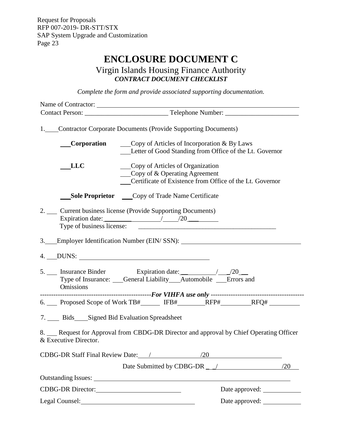# **ENCLOSURE DOCUMENT C**

## Virgin Islands Housing Finance Authority *CONTRACT DOCUMENT CHECKLIST*

*Complete the form and provide associated supporting documentation.*

<span id="page-25-0"></span>

| Name of Contractor:                       |                                                                                                                                                      |
|-------------------------------------------|------------------------------------------------------------------------------------------------------------------------------------------------------|
|                                           |                                                                                                                                                      |
|                                           | 1. Contractor Corporate Documents (Provide Supporting Documents)                                                                                     |
|                                           | <b>Corporation</b> $\qquad \qquad \text{Copy of Articles of Incorporation & By Laws}$<br>Letter of Good Standing from Office of the Lt. Governor     |
| LLC                                       | Copy of Articles of Organization<br>$\qquad \qquad \text{Copy of & Operating Agreement}$<br>Certificate of Existence from Office of the Lt. Governor |
|                                           | <b>Sole Proprietor</b> Copy of Trade Name Certificate                                                                                                |
| Type of business license:                 | 2. __ Current business license (Provide Supporting Documents)<br>Expiration date: $\frac{20}{20}$                                                    |
|                                           | 3. Employer Identification Number (EIN/SSN): ___________________________________                                                                     |
|                                           |                                                                                                                                                      |
| Omissions                                 | Type of Insurance: Ceneral Liability Automobile Errors and                                                                                           |
|                                           | 6. Proposed Scope of Work TB#______ IFB#________RFP#_________RFQ# ______________                                                                     |
| 7. Bids Signed Bid Evaluation Spreadsheet |                                                                                                                                                      |
| & Executive Director.                     | 8. Request for Approval from CBDG-DR Director and approval by Chief Operating Officer                                                                |
| CDBG-DR Staff Final Review Date: /        | /20                                                                                                                                                  |
|                                           |                                                                                                                                                      |
|                                           |                                                                                                                                                      |
|                                           | Date approved:                                                                                                                                       |
|                                           | Date approved:<br>Legal Counsel:<br><u>Legal Counsel:</u>                                                                                            |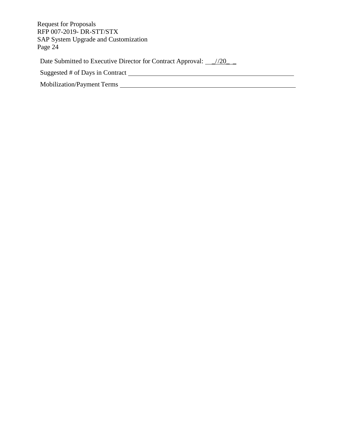| <b>Request for Proposals</b><br>RFP 007-2019- DR-STT/STX<br><b>SAP System Upgrade and Customization</b><br>Page 24 |
|--------------------------------------------------------------------------------------------------------------------|
| Date Submitted to Executive Director for Contract Approval: //20_                                                  |
| Suggested # of Days in Contract                                                                                    |
| <b>Mobilization/Payment Terms</b>                                                                                  |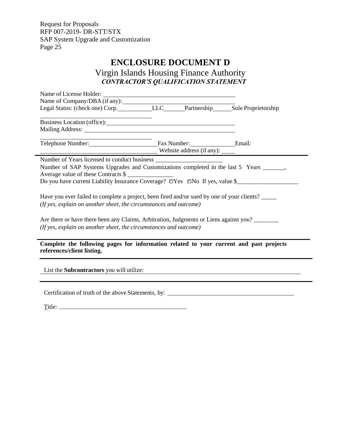$\overline{\phantom{0}}$ 

# **ENCLOSURE DOCUMENT D**

<span id="page-27-0"></span>Virgin Islands Housing Finance Authority *CONTRACTOR'S QUALIFICATION STATEMENT*

| Name of Company/DBA (if any):<br>Legal Status: (check one) Corp. LLC Legal Status: (check one) Corp. LLC LEC Partnership Sole Proprietorship                         |  |  |  |  |  |  |
|----------------------------------------------------------------------------------------------------------------------------------------------------------------------|--|--|--|--|--|--|
|                                                                                                                                                                      |  |  |  |  |  |  |
|                                                                                                                                                                      |  |  |  |  |  |  |
| Mailing Address: Mailing Address: No. 1996                                                                                                                           |  |  |  |  |  |  |
|                                                                                                                                                                      |  |  |  |  |  |  |
| Telephone Number: Email: Fax Number: Email:                                                                                                                          |  |  |  |  |  |  |
|                                                                                                                                                                      |  |  |  |  |  |  |
|                                                                                                                                                                      |  |  |  |  |  |  |
| Number of SAP Systems Upgrades and Customizations completed in the last 5 Years _______,                                                                             |  |  |  |  |  |  |
| Average value of these Contracts \$                                                                                                                                  |  |  |  |  |  |  |
| Do you have current Liability Insurance Coverage? □Yes □No If yes, value \$                                                                                          |  |  |  |  |  |  |
|                                                                                                                                                                      |  |  |  |  |  |  |
| Have you ever failed to complete a project, been fired and/or sued by one of your clients?                                                                           |  |  |  |  |  |  |
| (If yes, explain on another sheet, the circumstances and outcome)                                                                                                    |  |  |  |  |  |  |
|                                                                                                                                                                      |  |  |  |  |  |  |
|                                                                                                                                                                      |  |  |  |  |  |  |
| Are there or have there been any Claims, Arbitration, Judgments or Liens against you?<br>(If yes, explain on another sheet, the circumstances and outcome)           |  |  |  |  |  |  |
|                                                                                                                                                                      |  |  |  |  |  |  |
|                                                                                                                                                                      |  |  |  |  |  |  |
| Complete the following pages for information related to your current and past projects                                                                               |  |  |  |  |  |  |
| references/client listing.                                                                                                                                           |  |  |  |  |  |  |
|                                                                                                                                                                      |  |  |  |  |  |  |
| List the <b>Subcontractors</b> you will utilize:<br>and the control of the control of the control of the control of the control of the control of the control of the |  |  |  |  |  |  |
|                                                                                                                                                                      |  |  |  |  |  |  |
|                                                                                                                                                                      |  |  |  |  |  |  |
| Certification of truth of the above Statements, by: ____________________________                                                                                     |  |  |  |  |  |  |
|                                                                                                                                                                      |  |  |  |  |  |  |

| Title: |  |  |  |
|--------|--|--|--|
| __     |  |  |  |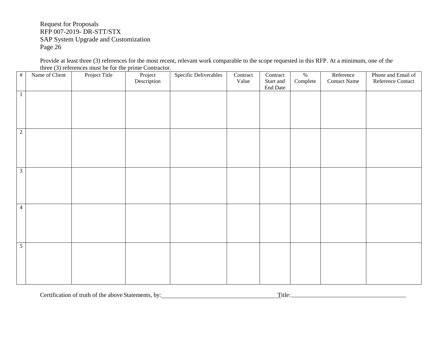Provide at least three (3) references for the most recent, relevant work comparable to the scope requested in this RFP. At a minimum, one of the three (3) references must be for the prime Contractor.

| $\#$ | Name of Client          | Project Title | Project<br>Description | Specific Deliverables | Contract<br>Value | Contract<br>Start and<br>End Date | $\%$<br>Complete | Reference<br><b>Contact Name</b> | Phone and Email of<br>Reference Contact |
|------|-------------------------|---------------|------------------------|-----------------------|-------------------|-----------------------------------|------------------|----------------------------------|-----------------------------------------|
|      | $\mathbf{1}$            |               |                        |                       |                   |                                   |                  |                                  |                                         |
| 2    |                         |               |                        |                       |                   |                                   |                  |                                  |                                         |
|      | $\overline{\mathbf{3}}$ |               |                        |                       |                   |                                   |                  |                                  |                                         |
|      | $\overline{4}$          |               |                        |                       |                   |                                   |                  |                                  |                                         |
|      | $\overline{5}$          |               |                        |                       |                   |                                   |                  |                                  |                                         |

Certification of truth of the above Statements, by: Title: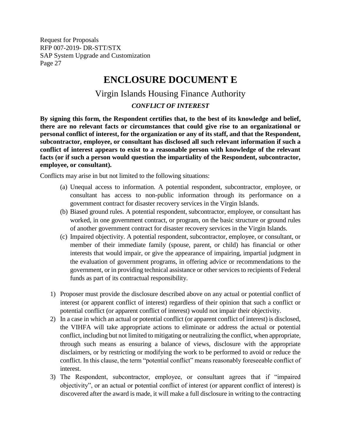# **ENCLOSURE DOCUMENT E**

# Virgin Islands Housing Finance Authority

### *CONFLICT OF INTEREST*

<span id="page-29-0"></span>**By signing this form, the Respondent certifies that, to the best of its knowledge and belief, there are no relevant facts or circumstances that could give rise to an organizational or personal conflict of interest, for the organization or any of its staff, and that the Respondent, subcontractor, employee, or consultant has disclosed all such relevant information if such a conflict of interest appears to exist to a reasonable person with knowledge of the relevant facts (or if such a person would question the impartiality of the Respondent, subcontractor, employee, or consultant).**

Conflicts may arise in but not limited to the following situations:

- (a) Unequal access to information. A potential respondent, subcontractor, employee, or consultant has access to non-public information through its performance on a government contract for disaster recovery services in the Virgin Islands.
- (b) Biased ground rules. A potential respondent, subcontractor, employee, or consultant has worked, in one government contract, or program, on the basic structure or ground rules of another government contract for disaster recovery services in the Virgin Islands.
- (c) Impaired objectivity. A potential respondent, subcontractor, employee, or consultant, or member of their immediate family (spouse, parent, or child) has financial or other interests that would impair, or give the appearance of impairing, impartial judgment in the evaluation of government programs, in offering advice or recommendations to the government, or in providing technical assistance or other services to recipients of Federal funds as part of its contractual responsibility.
- 1) Proposer must provide the disclosure described above on any actual or potential conflict of interest (or apparent conflict of interest) regardless of their opinion that such a conflict or potential conflict (or apparent conflict of interest) would not impair their objectivity.
- 2) In a case in which an actual or potential conflict (or apparent conflict of interest) is disclosed, the VIHFA will take appropriate actions to eliminate or address the actual or potential conflict, including but not limited to mitigating or neutralizing the conflict, when appropriate, through such means as ensuring a balance of views, disclosure with the appropriate disclaimers, or by restricting or modifying the work to be performed to avoid or reduce the conflict. In this clause, the term "potential conflict" means reasonably foreseeable conflict of interest.
- 3) The Respondent, subcontractor, employee, or consultant agrees that if "impaired objectivity", or an actual or potential conflict of interest (or apparent conflict of interest) is discovered after the award is made, it will make a full disclosure in writing to the contracting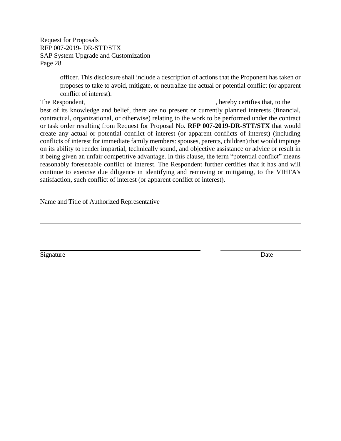> officer. This disclosure shall include a description of actions that the Proponent has taken or proposes to take to avoid, mitigate, or neutralize the actual or potential conflict (or apparent conflict of interest).

The Respondent,  $\blacksquare$  , hereby certifies that, to the best of its knowledge and belief, there are no present or currently planned interests (financial, contractual, organizational, or otherwise) relating to the work to be performed under the contract or task order resulting from Request for Proposal No. **RFP 007-2019-DR-STT/STX** that would create any actual or potential conflict of interest (or apparent conflicts of interest) (including conflicts of interest for immediate family members: spouses, parents, children) that would impinge on its ability to render impartial, technically sound, and objective assistance or advice or result in it being given an unfair competitive advantage. In this clause, the term "potential conflict" means reasonably foreseeable conflict of interest. The Respondent further certifies that it has and will continue to exercise due diligence in identifying and removing or mitigating, to the VIHFA's satisfaction, such conflict of interest (or apparent conflict of interest).

Name and Title of Authorized Representative

Signature Date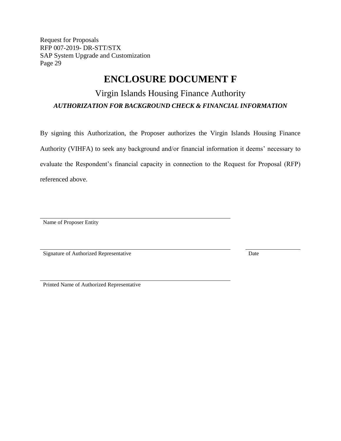## **ENCLOSURE DOCUMENT F**

## <span id="page-31-0"></span>Virgin Islands Housing Finance Authority *AUTHORIZATION FOR BACKGROUND CHECK & FINANCIAL INFORMATION*

By signing this Authorization, the Proposer authorizes the Virgin Islands Housing Finance Authority (VIHFA) to seek any background and/or financial information it deems' necessary to evaluate the Respondent's financial capacity in connection to the Request for Proposal (RFP) referenced above.

Name of Proposer Entity

Signature of Authorized Representative Date

Printed Name of Authorized Representative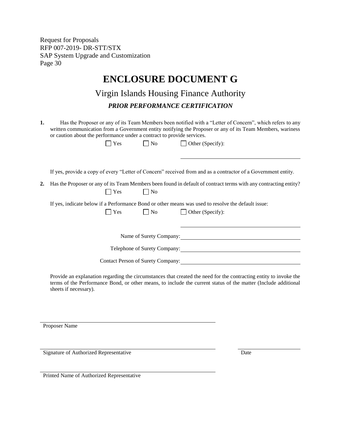# **ENCLOSURE DOCUMENT G**

## Virgin Islands Housing Finance Authority *PRIOR PERFORMANCE CERTIFICATION*

<span id="page-32-0"></span>**1.** Has the Proposer or any of its Team Members been notified with a "Letter of Concern", which refers to any written communication from a Government entity notifying the Proposer or any of its Team Members, wariness or caution about the performance under a contract to provide services.

| na<br>.<br>۰. |  |  |
|---------------|--|--|
|               |  |  |

 $\Box$  Yes  $\Box$  No  $\Box$  Other (Specify):

If yes, provide a copy of every "Letter of Concern" received from and as a contractor of a Government entity.

**2.** Has the Proposer or any of its Team Members been found in default of contract terms with any contracting entity?  $\bigcap$  Yes  $\bigcap$  No

If yes, indicate below if a Performance Bond or other means was used to resolve the default issue:

| $\sim$<br>×<br>۰. |
|-------------------|
|-------------------|

Name of Surety Company: 2008

Telephone of Surety Company:

 $\bigcap$  No  $\bigcap$  Other (Specify):

Contact Person of Surety Company:

Provide an explanation regarding the circumstances that created the need for the contracting entity to invoke the terms of the Performance Bond, or other means, to include the current status of the matter (Include additional sheets if necessary).

Proposer Name

Signature of Authorized Representative Date

Printed Name of Authorized Representative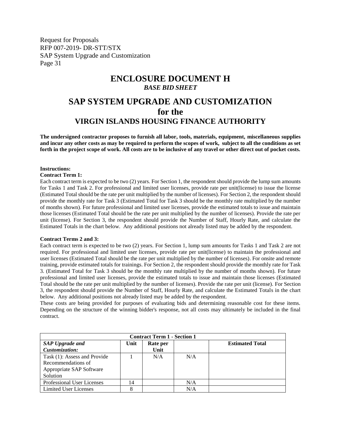## <span id="page-33-0"></span>**ENCLOSURE DOCUMENT H** *BASE BID SHEET* **SAP SYSTEM UPGRADE AND CUSTOMIZATION for the**

## **VIRGIN ISLANDS HOUSING FINANCE AUTHORITY**

**The undersigned contractor proposes to furnish all labor, tools, materials, equipment, miscellaneous supplies and incur any other costs as may be required to perform the scopes of work, subject to all the conditions as set forth in the project scope of work. All costs are to be inclusive of any travel or other direct out of pocket costs.**

#### **Instructions:**

#### **Contract Term 1:**

Each contract term is expected to be two (2) years. For Section 1, the respondent should provide the lump sum amounts for Tasks 1 and Task 2. For professional and limited user licenses, provide rate per unit(license) to issue the license (Estimated Total should be the rate per unit multiplied by the number of licenses). For Section 2, the respondent should provide the monthly rate for Task 3 (Estimated Total for Task 3 should be the monthly rate multiplied by the number of months shown). For future professional and limited user licenses, provide the estimated totals to issue and maintain those licenses (Estimated Total should be the rate per unit multiplied by the number of licenses). Provide the rate per unit (license). For Section 3, the respondent should provide the Number of Staff, Hourly Rate, and calculate the Estimated Totals in the chart below. Any additional positions not already listed may be added by the respondent.

#### **Contract Terms 2 and 3:**

Each contract term is expected to be two (2) years. For Section 1, lump sum amounts for Tasks 1 and Task 2 are not required. For professional and limited user licenses, provide rate per unit(license) to maintain the professional and user licenses (Estimated Total should be the rate per unit multiplied by the number of licenses). For onsite and remote training, provide estimated totals for trainings. For Section 2, the respondent should provide the monthly rate for Task 3. (Estimated Total for Task 3 should be the monthly rate multiplied by the number of months shown). For future professional and limited user licenses, provide the estimated totals to issue and maintain those licenses (Estimated Total should be the rate per unit multiplied by the number of licenses). Provide the rate per unit (license). For Section 3, the respondent should provide the Number of Staff, Hourly Rate, and calculate the Estimated Totals in the chart below. Any additional positions not already listed may be added by the respondent.

These costs are being provided for purposes of evaluating bids and determining reasonable cost for these items. Depending on the structure of the winning bidder's response, not all costs may ultimately be included in the final contract.

| <b>Contract Term 1 - Section 1</b> |      |          |     |                        |  |
|------------------------------------|------|----------|-----|------------------------|--|
| <b>SAP</b> Upgrade and             | Unit | Rate per |     | <b>Estimated Total</b> |  |
| Customization:                     |      | Unit     |     |                        |  |
| Task (1): Assess and Provide       |      | N/A      | N/A |                        |  |
| Recommendations of                 |      |          |     |                        |  |
| Appropriate SAP Software           |      |          |     |                        |  |
| Solution                           |      |          |     |                        |  |
| <b>Professional User Licenses</b>  | 14   |          | N/A |                        |  |
| Limited User Licenses              |      |          | N/A |                        |  |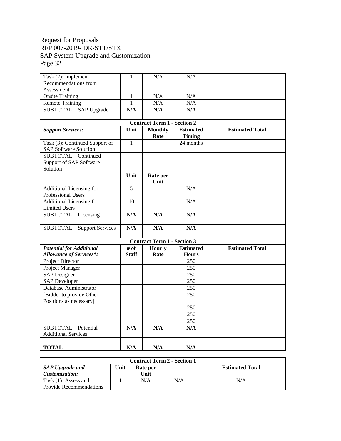| Task (2): Implement                | 1            | N/A                                | N/A              |                        |
|------------------------------------|--------------|------------------------------------|------------------|------------------------|
| Recommendations from               |              |                                    |                  |                        |
| Assessment                         |              |                                    |                  |                        |
| Onsite Training                    | 1            | N/A                                | N/A              |                        |
| <b>Remote Training</b>             | 1            | N/A                                | N/A              |                        |
| SUBTOTAL - SAP Upgrade             | N/A          | N/A                                | N/A              |                        |
|                                    |              |                                    |                  |                        |
|                                    |              | <b>Contract Term 1 - Section 2</b> |                  |                        |
| <b>Support Services:</b>           | Unit         | <b>Monthly</b>                     | <b>Estimated</b> | <b>Estimated Total</b> |
|                                    |              | Rate                               | <b>Timing</b>    |                        |
| Task (3): Continued Support of     | $\mathbf{1}$ |                                    | 24 months        |                        |
| <b>SAP Software Solution</b>       |              |                                    |                  |                        |
| SUBTOTAL - Continued               |              |                                    |                  |                        |
| Support of SAP Software            |              |                                    |                  |                        |
| Solution                           |              |                                    |                  |                        |
|                                    | Unit         | Rate per                           |                  |                        |
|                                    |              | Unit                               |                  |                        |
| Additional Licensing for           | 5            |                                    | N/A              |                        |
| Professional Users                 |              |                                    |                  |                        |
| Additional Licensing for           | 10           |                                    | N/A              |                        |
| <b>Limited Users</b>               |              |                                    |                  |                        |
| SUBTOTAL - Licensing               | N/A          | N/A                                | N/A              |                        |
|                                    |              |                                    |                  |                        |
| <b>SUBTOTAL</b> - Support Services | N/A          | N/A                                | N/A              |                        |
|                                    |              |                                    |                  |                        |
|                                    |              | <b>Contract Term 1 - Section 3</b> |                  |                        |
| <b>Potential for Additional</b>    | # of         | <b>Hourly</b>                      | <b>Estimated</b> | <b>Estimated Total</b> |
| <b>Allowance of Services*:</b>     | <b>Staff</b> | Rate                               | <b>Hours</b>     |                        |
| <b>Project Director</b>            |              |                                    | 250              |                        |
| Project Manager                    |              |                                    | 250              |                        |
| <b>SAP</b> Designer                |              |                                    | 250              |                        |
| <b>SAP Developer</b>               |              |                                    | 250              |                        |
| Database Administrator             |              |                                    | 250              |                        |
| [Bidder to provide Other           |              |                                    | 250              |                        |
| Positions as necessary]            |              |                                    |                  |                        |
|                                    |              |                                    | 250              |                        |
|                                    |              |                                    | 250              |                        |
|                                    |              |                                    | 250              |                        |
| SUBTOTAL - Potential               | N/A          | N/A                                | N/A              |                        |
| <b>Additional Services</b>         |              |                                    |                  |                        |
|                                    |              |                                    |                  |                        |
| <b>TOTAL</b>                       | N/A          | N/A                                | N/A              |                        |

| <b>Contract Term 2 - Section 1</b> |      |          |     |                        |  |  |
|------------------------------------|------|----------|-----|------------------------|--|--|
| <b>SAP Upgrade and</b>             | Unit | Rate per |     | <b>Estimated Total</b> |  |  |
| Customization:                     |      | Unit     |     |                        |  |  |
| Task $(1)$ : Assess and            |      | N/A      | N/A | N/A                    |  |  |
| <b>Provide Recommendations</b>     |      |          |     |                        |  |  |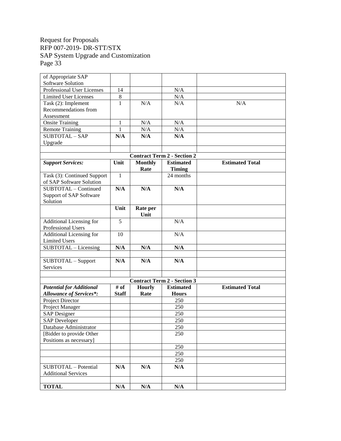| of Appropriate SAP              |                         |                |                                    |                        |
|---------------------------------|-------------------------|----------------|------------------------------------|------------------------|
| Software Solution               |                         |                |                                    |                        |
| Professional User Licenses      | 14                      |                | N/A                                |                        |
| <b>Limited User Licenses</b>    | $\,8\,$                 |                | N/A                                |                        |
| Task (2): Implement             | $\mathbf{1}$            | N/A            | N/A                                | N/A                    |
| Recommendations from            |                         |                |                                    |                        |
| Assessment                      |                         |                |                                    |                        |
| <b>Onsite Training</b>          | $\mathbf{1}$            | N/A            | N/A                                |                        |
| <b>Remote Training</b>          | 1                       | N/A            | N/A                                |                        |
| SUBTOTAL-SAP                    | N/A                     | N/A            | N/A                                |                        |
| Upgrade                         |                         |                |                                    |                        |
|                                 |                         |                |                                    |                        |
|                                 |                         |                | <b>Contract Term 2 - Section 2</b> |                        |
| <b>Support Services:</b>        | Unit                    | <b>Monthly</b> | <b>Estimated</b>                   | <b>Estimated Total</b> |
|                                 |                         | Rate           | <b>Timing</b>                      |                        |
| Task (3): Continued Support     | $\mathbf{1}$            |                | 24 months                          |                        |
| of SAP Software Solution        |                         |                |                                    |                        |
| SUBTOTAL - Continued            | N/A                     | N/A            | N/A                                |                        |
| Support of SAP Software         |                         |                |                                    |                        |
| Solution                        |                         |                |                                    |                        |
|                                 | Unit                    | Rate per       |                                    |                        |
|                                 |                         | Unit           |                                    |                        |
| Additional Licensing for        | 5                       |                | N/A                                |                        |
| Professional Users              |                         |                |                                    |                        |
| Additional Licensing for        | 10                      |                | N/A                                |                        |
| <b>Limited Users</b>            |                         |                |                                    |                        |
| SUBTOTAL - Licensing            | N/A                     | N/A            | N/A                                |                        |
|                                 |                         |                |                                    |                        |
| SUBTOTAL - Support              | N/A                     | N/A            | N/A                                |                        |
| Services                        |                         |                |                                    |                        |
|                                 |                         |                |                                    |                        |
|                                 |                         |                | <b>Contract Term 2 - Section 3</b> |                        |
| <b>Potential for Additional</b> | # of                    | <b>Hourly</b>  | <b>Estimated</b>                   | <b>Estimated Total</b> |
| <b>Allowance of Services*:</b>  | <b>Staff</b>            | Rate           | <b>Hours</b>                       |                        |
| Project Director                |                         |                | 250                                |                        |
| Project Manager                 |                         |                | 250                                |                        |
| <b>SAP</b> Designer             |                         |                | 250                                |                        |
| <b>SAP Developer</b>            |                         |                | 250                                |                        |
| Database Administrator          |                         |                | 250                                |                        |
| [Bidder to provide Other        |                         |                | 250                                |                        |
| Positions as necessary]         |                         |                |                                    |                        |
|                                 |                         |                | 250                                |                        |
|                                 |                         |                | 250                                |                        |
|                                 |                         |                |                                    |                        |
|                                 |                         |                | 250                                |                        |
| SUBTOTAL - Potential            | $\mathbf{N}/\mathbf{A}$ | N/A            | N/A                                |                        |
| <b>Additional Services</b>      |                         |                |                                    |                        |
|                                 |                         |                |                                    |                        |
| <b>TOTAL</b>                    | N/A                     | N/A            | N/A                                |                        |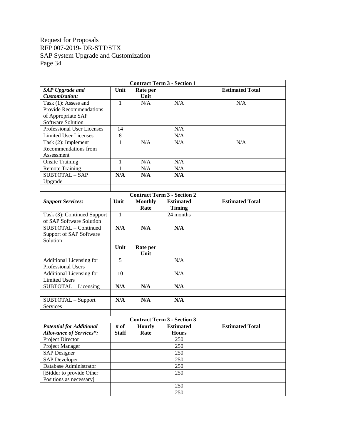| <b>Contract Term 3 - Section 1</b> |              |                |                                    |                        |  |
|------------------------------------|--------------|----------------|------------------------------------|------------------------|--|
| <b>SAP Upgrade and</b>             | Unit         | Rate per       |                                    | <b>Estimated Total</b> |  |
| Customization:                     |              | Unit           |                                    |                        |  |
| Task (1): Assess and               | $\mathbf{1}$ | N/A            | N/A                                | N/A                    |  |
| Provide Recommendations            |              |                |                                    |                        |  |
| of Appropriate SAP                 |              |                |                                    |                        |  |
| Software Solution                  |              |                |                                    |                        |  |
| Professional User Licenses         | 14           |                | N/A                                |                        |  |
| <b>Limited User Licenses</b>       | 8            |                | N/A                                |                        |  |
| Task (2): Implement                | 1            | N/A            | N/A                                | N/A                    |  |
| Recommendations from               |              |                |                                    |                        |  |
| Assessment                         |              |                |                                    |                        |  |
| <b>Onsite Training</b>             | $\mathbf{1}$ | N/A            | N/A                                |                        |  |
| <b>Remote Training</b>             | 1            | N/A            | N/A                                |                        |  |
| <b>SUBTOTAL - SAP</b>              | N/A          | N/A            | N/A                                |                        |  |
| Upgrade                            |              |                |                                    |                        |  |
|                                    |              |                |                                    |                        |  |
|                                    |              |                | <b>Contract Term 3 - Section 2</b> |                        |  |
| <b>Support Services:</b>           | Unit         | <b>Monthly</b> | <b>Estimated</b>                   | <b>Estimated Total</b> |  |
|                                    |              | Rate           | <b>Timing</b>                      |                        |  |
| Task (3): Continued Support        | $\mathbf{1}$ |                | 24 months                          |                        |  |
| of SAP Software Solution           |              |                |                                    |                        |  |
| SUBTOTAL - Continued               | N/A          | N/A            | N/A                                |                        |  |
| Support of SAP Software            |              |                |                                    |                        |  |
| Solution                           |              |                |                                    |                        |  |
|                                    | Unit         | Rate per       |                                    |                        |  |
|                                    |              | Unit           |                                    |                        |  |
| Additional Licensing for           | 5            |                | N/A                                |                        |  |
| Professional Users                 |              |                |                                    |                        |  |
| Additional Licensing for           | 10           |                | N/A                                |                        |  |
| <b>Limited Users</b>               |              |                |                                    |                        |  |
| SUBTOTAL - Licensing               | N/A          | N/A            | N/A                                |                        |  |
|                                    |              |                |                                    |                        |  |
| SUBTOTAL - Support                 | N/A          | N/A            | N/A                                |                        |  |
| Services                           |              |                |                                    |                        |  |
|                                    |              |                |                                    |                        |  |
|                                    |              |                | <b>Contract Term 3 - Section 3</b> |                        |  |
| <b>Potential for Additional</b>    | # of         | <b>Hourly</b>  | <b>Estimated</b>                   | <b>Estimated Total</b> |  |
| <b>Allowance of Services*:</b>     | <b>Staff</b> | Rate           | <b>Hours</b>                       |                        |  |
| Project Director                   |              |                | 250                                |                        |  |
| Project Manager                    |              |                | 250                                |                        |  |
| <b>SAP</b> Designer                |              |                | 250                                |                        |  |
| <b>SAP Developer</b>               |              |                | 250                                |                        |  |
| Database Administrator             |              |                | 250                                |                        |  |
| [Bidder to provide Other           |              |                | 250                                |                        |  |
| Positions as necessary]            |              |                |                                    |                        |  |
|                                    |              |                | 250                                |                        |  |
|                                    |              |                |                                    |                        |  |
|                                    |              |                | 250                                |                        |  |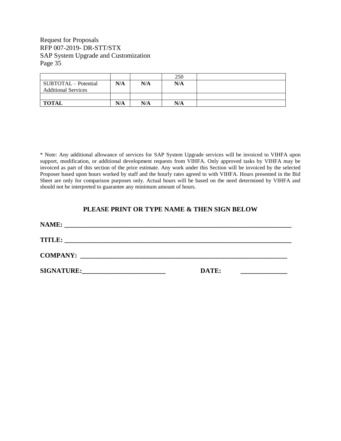|                                                    |     |     | 250 |  |
|----------------------------------------------------|-----|-----|-----|--|
| SUBTOTAL - Potential<br><b>Additional Services</b> | N/A | N/A | N/A |  |
|                                                    |     |     |     |  |
| <b>TOTAL</b>                                       | N/A | N/A | N/A |  |

\* Note: Any additional allowance of services for SAP System Upgrade services will be invoiced to VIHFA upon support, modification, or additional development requests from VIHFA. Only approved tasks by VIHFA may be invoiced as part of this section of the price estimate. Any work under this Section will be invoiced by the selected Proposer based upon hours worked by staff and the hourly rates agreed to with VIHFA. Hours presented in the Bid Sheet are only for comparison purposes only. Actual hours will be based on the need determined by VIHFA and should not be interpreted to guarantee any minimum amount of hours.

#### **PLEASE PRINT OR TYPE NAME & THEN SIGN BELOW**

| NAME:<br><u> 1980 - Jan Barbara, Amerikaansk politiker (</u> † 1920)                                                                  |       |  |
|---------------------------------------------------------------------------------------------------------------------------------------|-------|--|
| <b>TITLE:</b><br><u> 2000 - 2000 - 2000 - 2000 - 2000 - 2000 - 2000 - 2000 - 2000 - 2000 - 2000 - 2000 - 2000 - 2000 - 2000 - 200</u> |       |  |
| <b>COMPANY:</b><br><u> 1989 - John Stone, Amerikaansk politiker (</u> † 1920)                                                         |       |  |
| <b>SIGNATURE:</b>                                                                                                                     | DATE: |  |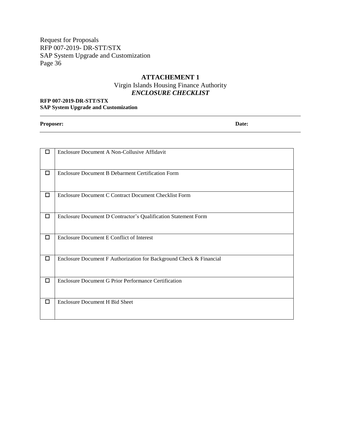#### **ATTACHEMENT 1**

### Virgin Islands Housing Finance Authority *ENCLOSURE CHECKLIST*

#### <span id="page-38-0"></span>**RFP 007-2019-DR-STT/STX SAP System Upgrade and Customization**

**Proposer: Date:**

| п      | Enclosure Document A Non-Collusive Affidavit                        |
|--------|---------------------------------------------------------------------|
| $\Box$ | <b>Enclosure Document B Debarment Certification Form</b>            |
| □      | Enclosure Document C Contract Document Checklist Form               |
| □      | Enclosure Document D Contractor's Qualification Statement Form      |
| □      | Enclosure Document E Conflict of Interest                           |
| □      | Enclosure Document F Authorization for Background Check & Financial |
| □      | Enclosure Document G Prior Performance Certification                |
| □      | Enclosure Document H Bid Sheet                                      |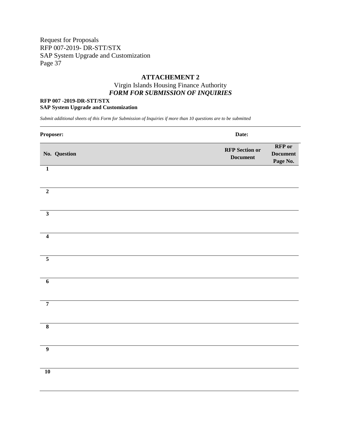#### **ATTACHEMENT 2**

### Virgin Islands Housing Finance Authority *FORM FOR SUBMISSION OF INQUIRIES*

#### <span id="page-39-0"></span>**RFP 007 -2019-DR-STT/STX SAP System Upgrade and Customization**

*Submit additional sheets of this Form for Submission of Inquiries if more than 10 questions are to be submitted*

| Proposer:               | Date:                                                                                    |  |
|-------------------------|------------------------------------------------------------------------------------------|--|
| No. Question            | <b>RFP</b> or<br><b>RFP</b> Section or<br><b>Document</b><br><b>Document</b><br>Page No. |  |
| $\mathbf 1$             |                                                                                          |  |
| $\overline{2}$          |                                                                                          |  |
| $\overline{\mathbf{3}}$ |                                                                                          |  |
| $\overline{\mathbf{4}}$ |                                                                                          |  |
| $\overline{\mathbf{5}}$ |                                                                                          |  |
| $\boldsymbol{6}$        |                                                                                          |  |
| $\overline{7}$          |                                                                                          |  |
| $\overline{\mathbf{8}}$ |                                                                                          |  |
| $\overline{9}$          |                                                                                          |  |
| ${\bf 10}$              |                                                                                          |  |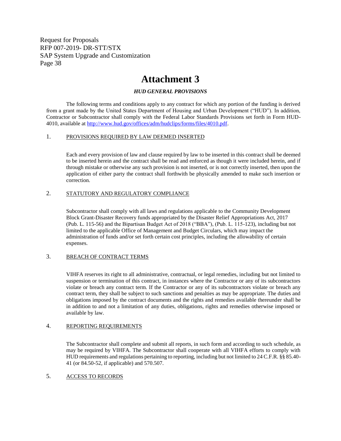## **Attachment 3**

#### *HUD GENERAL PROVISIONS*

<span id="page-40-0"></span>The following terms and conditions apply to any contract for which any portion of the funding is derived from a grant made by the United States Department of Housing and Urban Development ("HUD"). In addition, Contractor or Subcontractor shall comply with the Federal Labor Standards Provisions set forth in Form HUD-4010, available at [http://www.hud.gov/offices/adm/hudclips/forms/files/4010.pdf.](http://www.hud.gov/offices/adm/hudclips/forms/files/4010.pdf)

#### 1. PROVISIONS REQUIRED BY LAW DEEMED INSERTED

Each and every provision of law and clause required by law to be inserted in this contract shall be deemed to be inserted herein and the contract shall be read and enforced as though it were included herein, and if through mistake or otherwise any such provision is not inserted, or is not correctly inserted, then upon the application of either party the contract shall forthwith be physically amended to make such insertion or correction.

#### 2. STATUTORY AND REGULATORY COMPLIANCE

Subcontractor shall comply with all laws and regulations applicable to the Community Development Block Grant-Disaster Recovery funds appropriated by the Disaster Relief Appropriations Act, 2017 (Pub. L. 115-56) and the Bipartisan Budget Act of 2018 ("BBA"), (Pub. L. 115-123), including but not limited to the applicable Office of Management and Budget Circulars, which may impact the administration of funds and/or set forth certain cost principles, including the allowability of certain expenses.

#### 3. BREACH OF CONTRACT TERMS

VIHFA reserves its right to all administrative, contractual, or legal remedies, including but not limited to suspension or termination of this contract, in instances where the Contractor or any of its subcontractors violate or breach any contract term. If the Contractor or any of its subcontractors violate or breach any contract term, they shall be subject to such sanctions and penalties as may be appropriate. The duties and obligations imposed by the contract documents and the rights and remedies available thereunder shall be in addition to and not a limitation of any duties, obligations, rights and remedies otherwise imposed or available by law.

#### 4. REPORTING REQUIREMENTS

The Subcontractor shall complete and submit all reports, in such form and according to such schedule, as may be required by VIHFA. The Subcontractor shall cooperate with all VIHFA efforts to comply with HUD requirements and regulations pertaining to reporting, including but not limited to 24 C.F.R. §§ 85.40- 41 (or 84.50-52, if applicable) and 570.507.

#### 5. ACCESS TO RECORDS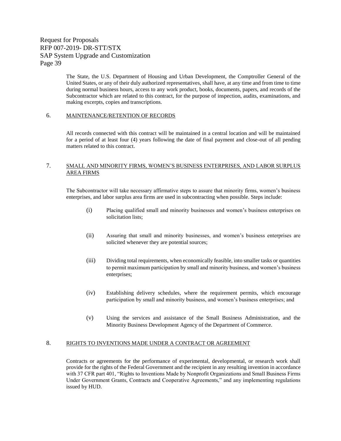The State, the U.S. Department of Housing and Urban Development, the Comptroller General of the United States, or any of their duly authorized representatives, shall have, at any time and from time to time during normal business hours, access to any work product, books, documents, papers, and records of the Subcontractor which are related to this contract, for the purpose of inspection, audits, examinations, and making excerpts, copies and transcriptions.

#### 6. MAINTENANCE/RETENTION OF RECORDS

All records connected with this contract will be maintained in a central location and will be maintained for a period of at least four (4) years following the date of final payment and close-out of all pending matters related to this contract.

#### 7. SMALL AND MINORITY FIRMS, WOMEN'S BUSINESS ENTERPRISES, AND LABOR SURPLUS AREA FIRMS

The Subcontractor will take necessary affirmative steps to assure that minority firms, women's business enterprises, and labor surplus area firms are used in subcontracting when possible. Steps include:

- (i) Placing qualified small and minority businesses and women's business enterprises on solicitation lists;
- (ii) Assuring that small and minority businesses, and women's business enterprises are solicited whenever they are potential sources;
- (iii) Dividing total requirements, when economically feasible, into smaller tasks or quantities to permit maximum participation by small and minority business, and women's business enterprises;
- (iv) Establishing delivery schedules, where the requirement permits, which encourage participation by small and minority business, and women's business enterprises; and
- (v) Using the services and assistance of the Small Business Administration, and the Minority Business Development Agency of the Department of Commerce.

#### 8. RIGHTS TO INVENTIONS MADE UNDER A CONTRACT OR AGREEMENT

Contracts or agreements for the performance of experimental, developmental, or research work shall provide for the rights of the Federal Government and the recipient in any resulting invention in accordance with 37 CFR part 401, "Rights to Inventions Made by Nonprofit Organizations and Small Business Firms Under Government Grants, Contracts and Cooperative Agreements," and any implementing regulations issued by HUD.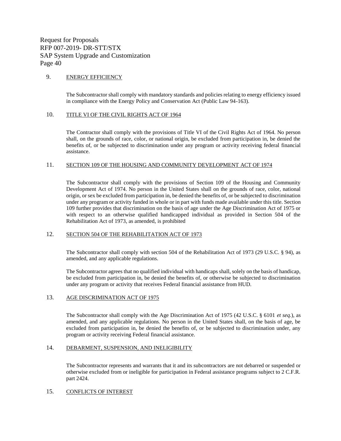#### 9. ENERGY EFFICIENCY

The Subcontractor shall comply with mandatory standards and policies relating to energy efficiency issued in compliance with the Energy Policy and Conservation Act (Public Law 94-163).

#### 10. TITLE VI OF THE CIVIL RIGHTS ACT OF 1964

The Contractor shall comply with the provisions of Title VI of the Civil Rights Act of 1964. No person shall, on the grounds of race, color, or national origin, be excluded from participation in, be denied the benefits of, or be subjected to discrimination under any program or activity receiving federal financial assistance.

#### 11. SECTION 109 OF THE HOUSING AND COMMUNITY DEVELOPMENT ACT OF 1974

The Subcontractor shall comply with the provisions of Section 109 of the Housing and Community Development Act of 1974. No person in the United States shall on the grounds of race, color, national origin, or sex be excluded from participation in, be denied the benefits of, or be subjected to discrimination under any program or activity funded in whole or in part with funds made available under this title. Section 109 further provides that discrimination on the basis of age under the Age Discrimination Act of 1975 or with respect to an otherwise qualified handicapped individual as provided in Section 504 of the Rehabilitation Act of 1973, as amended, is prohibited

#### 12. SECTION 504 OF THE REHABILITATION ACT OF 1973

The Subcontractor shall comply with section 504 of the Rehabilitation Act of 1973 (29 U.S.C. § 94), as amended, and any applicable regulations.

The Subcontractor agrees that no qualified individual with handicaps shall, solely on the basis of handicap, be excluded from participation in, be denied the benefits of, or otherwise be subjected to discrimination under any program or activity that receives Federal financial assistance from HUD.

#### 13. AGE DISCRIMINATION ACT OF 1975

The Subcontractor shall comply with the Age Discrimination Act of 1975 (42 U.S.C. § 6101 *et seq.*), as amended, and any applicable regulations. No person in the United States shall, on the basis of age, be excluded from participation in, be denied the benefits of, or be subjected to discrimination under, any program or activity receiving Federal financial assistance.

#### 14. DEBARMENT, SUSPENSION, AND INELIGIBILITY

The Subcontractor represents and warrants that it and its subcontractors are not debarred or suspended or otherwise excluded from or ineligible for participation in Federal assistance programs subject to 2 C.F.R. part 2424.

#### 15. CONFLICTS OF INTEREST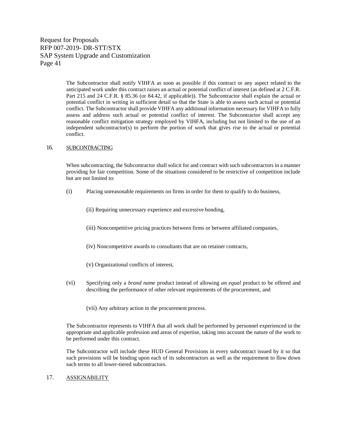> The Subcontractor shall notify VIHFA as soon as possible if this contract or any aspect related to the anticipated work under this contract raises an actual or potential conflict of interest (as defined at 2 C.F.R. Part 215 and 24 C.F.R. § 85.36 (or 84.42, if applicable)). The Subcontractor shall explain the actual or potential conflict in writing in sufficient detail so that the State is able to assess such actual or potential conflict. The Subcontractor shall provide VIHFA any additional information necessary for VIHFA to fully assess and address such actual or potential conflict of interest. The Subcontractor shall accept any reasonable conflict mitigation strategy employed by VIHFA, including but not limited to the use of an independent subcontractor(s) to perform the portion of work that gives rise to the actual or potential conflict.

#### 16. SUBCONTRACTING

When subcontracting, the Subcontractor shall solicit for and contract with such subcontractors in a manner providing for fair competition. Some of the situations considered to be restrictive of competition include but are not limited to:

- (i) Placing unreasonable requirements on firms in order for them to qualify to do business,
	- (ii) Requiring unnecessary experience and excessive bonding,
	- (iii) Noncompetitive pricing practices between firms or between affiliated companies,
	- (iv) Noncompetitive awards to consultants that are on retainer contracts,
	- (v) Organizational conflicts of interest,
- (vi) Specifying only a *brand name* product instead of allowing *an equal* product to be offered and describing the performance of other relevant requirements of the procurement, and
	- (vii) Any arbitrary action in the procurement process.

The Subcontractor represents to VIHFA that all work shall be performed by personnel experienced in the appropriate and applicable profession and areas of expertise, taking into account the nature of the work to be performed under this contract.

The Subcontractor will include these HUD General Provisions in every subcontract issued by it so that such provisions will be binding upon each of its subcontractors as well as the requirement to flow down such terms to all lower-tiered subcontractors.

#### 17. ASSIGNABILITY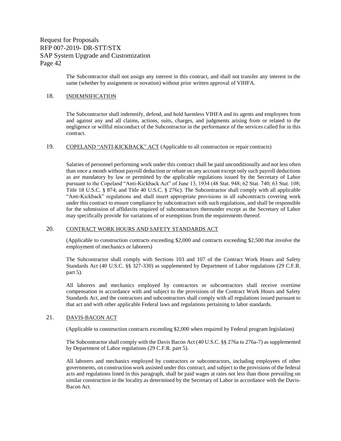The Subcontractor shall not assign any interest in this contract, and shall not transfer any interest in the same (whether by assignment or novation) without prior written approval of VIHFA.

#### 18. INDEMNIFICATION

The Subcontractor shall indemnify, defend, and hold harmless VIHFA and its agents and employees from and against any and all claims, actions, suits, charges, and judgments arising from or related to the negligence or willful misconduct of the Subcontractor in the performance of the services called for in this contract.

#### 19. COPELAND "ANTI-KICKBACK" ACT (Applicable to all construction or repair contracts)

Salaries of personnel performing work under this contract shall be paid unconditionally and not less often than once a month without payroll deduction or rebate on any account except only such payroll deductions as are mandatory by law or permitted by the applicable regulations issued by the Secretary of Labor pursuant to the Copeland "Anti-Kickback Act" of June 13, 1934 (48 Stat. 948; 62 Stat. 740; 63 Stat. 108; Title 18 U.S.C. § 874; and Title 40 U.S.C. § 276c). The Subcontractor shall comply with all applicable "Anti-Kickback" regulations and shall insert appropriate provisions in all subcontracts covering work under this contract to ensure compliance by subcontractors with such regulations, and shall be responsible for the submission of affidavits required of subcontractors thereunder except as the Secretary of Labor may specifically provide for variations of or exemptions from the requirements thereof.

#### 20. CONTRACT WORK HOURS AND SAFETY STANDARDS ACT

(Applicable to construction contracts exceeding \$2,000 and contracts exceeding \$2,500 that involve the employment of mechanics or laborers)

The Subcontractor shall comply with Sections 103 and 107 of the Contract Work Hours and Safety Standards Act (40 U.S.C. §§ 327-330) as supplemented by Department of Labor regulations (29 C.F.R. part 5).

All laborers and mechanics employed by contractors or subcontractors shall receive overtime compensation in accordance with and subject to the provisions of the Contract Work Hours and Safety Standards Act, and the contractors and subcontractors shall comply with all regulations issued pursuant to that act and with other applicable Federal laws and regulations pertaining to labor standards.

#### 21. DAVIS-BACON ACT

(Applicable to construction contracts exceeding \$2,000 when required by Federal program legislation)

The Subcontractor shall comply with the Davis Bacon Act (40 U.S.C. §§ 276a to 276a-7) as supplemented by Department of Labor regulations (29 C.F.R. part 5).

All laborers and mechanics employed by contractors or subcontractors, including employees of other governments, on construction work assisted under this contract, and subject to the provisions of the federal acts and regulations listed in this paragraph, shall be paid wages at rates not less than those prevailing on similar construction in the locality as determined by the Secretary of Labor in accordance with the Davis-Bacon Act.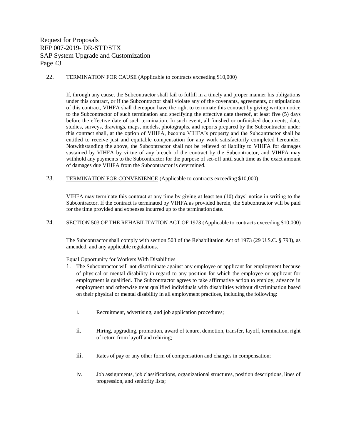22. TERMINATION FOR CAUSE (Applicable to contracts exceeding \$10,000)

If, through any cause, the Subcontractor shall fail to fulfill in a timely and proper manner his obligations under this contract, or if the Subcontractor shall violate any of the covenants, agreements, or stipulations of this contract, VIHFA shall thereupon have the right to terminate this contract by giving written notice to the Subcontractor of such termination and specifying the effective date thereof, at least five (5) days before the effective date of such termination. In such event, all finished or unfinished documents, data, studies, surveys, drawings, maps, models, photographs, and reports prepared by the Subcontractor under this contract shall, at the option of VIHFA, become VIHFA's property and the Subcontractor shall be entitled to receive just and equitable compensation for any work satisfactorily completed hereunder. Notwithstanding the above, the Subcontractor shall not be relieved of liability to VIHFA for damages sustained by VIHFA by virtue of any breach of the contract by the Subcontractor, and VIHFA may withhold any payments to the Subcontractor for the purpose of set-off until such time as the exact amount of damages due VIHFA from the Subcontractor is determined.

23. TERMINATION FOR CONVENIENCE (Applicable to contracts exceeding \$10,000)

VIHFA may terminate this contract at any time by giving at least ten (10) days' notice in writing to the Subcontractor. If the contract is terminated by VIHFA as provided herein, the Subcontractor will be paid for the time provided and expenses incurred up to the termination date.

24. SECTION 503 OF THE REHABILITATION ACT OF 1973 (Applicable to contracts exceeding \$10,000)

The Subcontractor shall comply with section 503 of the Rehabilitation Act of 1973 (29 U.S.C. § 793), as amended, and any applicable regulations.

Equal Opportunity for Workers With Disabilities

- 1. The Subcontractor will not discriminate against any employee or applicant for employment because of physical or mental disability in regard to any position for which the employee or applicant for employment is qualified. The Subcontractor agrees to take affirmative action to employ, advance in employment and otherwise treat qualified individuals with disabilities without discrimination based on their physical or mental disability in all employment practices, including the following:
	- i. Recruitment, advertising, and job application procedures;
	- ii. Hiring, upgrading, promotion, award of tenure, demotion, transfer, layoff, termination, right of return from layoff and rehiring;
	- iii. Rates of pay or any other form of compensation and changes in compensation;
	- iv. Job assignments, job classifications, organizational structures, position descriptions, lines of progression, and seniority lists;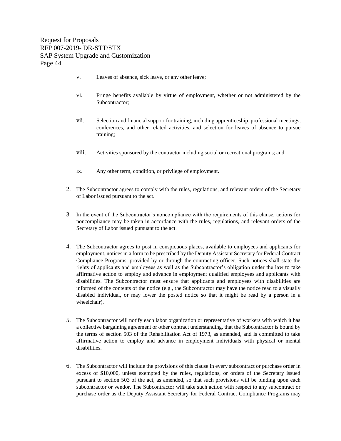- v. Leaves of absence, sick leave, or any other leave;
- vi. Fringe benefits available by virtue of employment, whether or not administered by the Subcontractor;
- vii. Selection and financial support for training, including apprenticeship, professional meetings, conferences, and other related activities, and selection for leaves of absence to pursue training;
- viii. Activities sponsored by the contractor including social or recreational programs; and
- ix. Any other term, condition, or privilege of employment.
- 2. The Subcontractor agrees to comply with the rules, regulations, and relevant orders of the Secretary of Labor issued pursuant to the act.
- 3. In the event of the Subcontractor's noncompliance with the requirements of this clause, actions for noncompliance may be taken in accordance with the rules, regulations, and relevant orders of the Secretary of Labor issued pursuant to the act.
- 4. The Subcontractor agrees to post in conspicuous places, available to employees and applicants for employment, notices in a form to be prescribed by the Deputy Assistant Secretary for Federal Contract Compliance Programs, provided by or through the contracting officer. Such notices shall state the rights of applicants and employees as well as the Subcontractor's obligation under the law to take affirmative action to employ and advance in employment qualified employees and applicants with disabilities. The Subcontractor must ensure that applicants and employees with disabilities are informed of the contents of the notice (e.g., the Subcontractor may have the notice read to a visually disabled individual, or may lower the posted notice so that it might be read by a person in a wheelchair).
- 5. The Subcontractor will notify each labor organization or representative of workers with which it has a collective bargaining agreement or other contract understanding, that the Subcontractor is bound by the terms of section 503 of the Rehabilitation Act of 1973, as amended, and is committed to take affirmative action to employ and advance in employment individuals with physical or mental disabilities.
- 6. The Subcontractor will include the provisions of this clause in every subcontract or purchase order in excess of \$10,000, unless exempted by the rules, regulations, or orders of the Secretary issued pursuant to section 503 of the act, as amended, so that such provisions will be binding upon each subcontractor or vendor. The Subcontractor will take such action with respect to any subcontract or purchase order as the Deputy Assistant Secretary for Federal Contract Compliance Programs may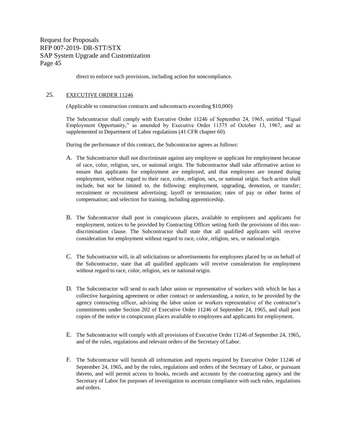direct to enforce such provisions, including action for noncompliance.

#### 25. EXECUTIVE ORDER 11246

(Applicable to construction contracts and subcontracts exceeding \$10,000)

The Subcontractor shall comply with Executive Order 11246 of September 24, 1965, entitled "Equal Employment Opportunity," as amended by Executive Order 11375 of October 13, 1967, and as supplemented in Department of Labor regulations (41 CFR chapter 60).

During the performance of this contract, the Subcontractor agrees as follows:

- A. The Subcontractor shall not discriminate against any employee or applicant for employment because of race, color, religion, sex, or national origin. The Subcontractor shall take affirmative action to ensure that applicants for employment are employed, and that employees are treated during employment, without regard to their race, color, religion, sex, or national origin. Such action shall include, but not be limited to, the following: employment, upgrading, demotion, or transfer; recruitment or recruitment advertising; layoff or termination; rates of pay or other forms of compensation; and selection for training, including apprenticeship.
- B. The Subcontractor shall post in conspicuous places, available to employees and applicants for employment, notices to be provided by Contracting Officer setting forth the provisions of this nondiscrimination clause. The Subcontractor shall state that all qualified applicants will receive consideration for employment without regard to race, color, religion, sex, or national origin.
- C. The Subcontractor will, in all solicitations or advertisements for employees placed by or on behalf of the Subcontractor, state that all qualified applicants will receive consideration for employment without regard to race, color, religion, sex or national origin.
- D. The Subcontractor will send to each labor union or representative of workers with which he has a collective bargaining agreement or other contract or understanding, a notice, to be provided by the agency contracting officer, advising the labor union or workers representative of the contractor's commitments under Section 202 of Executive Order 11246 of September 24, 1965, and shall post copies of the notice in conspicuous places available to employees and applicants for employment.
- E. The Subcontractor will comply with all provisions of Executive Order 11246 of September 24, 1965, and of the rules, regulations and relevant orders of the Secretary of Labor.
- F. The Subcontractor will furnish all information and reports required by Executive Order 11246 of September 24, 1965, and by the rules, regulations and orders of the Secretary of Labor, or pursuant thereto, and will permit access to books, records and accounts by the contracting agency and the Secretary of Labor for purposes of investigation to ascertain compliance with such rules, regulations and orders.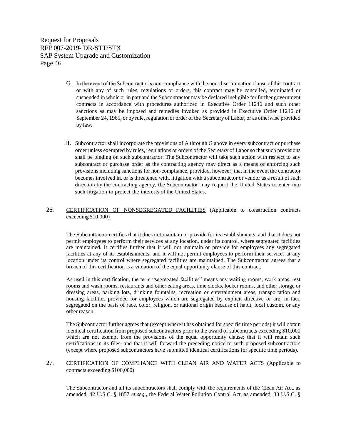- G. In the event of the Subcontractor's non-compliance with the non-discrimination clause of this contract or with any of such rules, regulations or orders, this contract may be cancelled, terminated or suspended in whole or in part and the Subcontractor may be declared ineligible for further government contracts in accordance with procedures authorized in Executive Order 11246 and such other sanctions as may be imposed and remedies invoked as provided in Executive Order 11246 of September 24, 1965, or by rule, regulation or order of the Secretary of Labor, or as otherwise provided by law.
- H. Subcontractor shall incorporate the provisions of A through G above in every subcontract or purchase order unless exempted by rules, regulations or orders of the Secretary of Labor so that such provisions shall be binding on such subcontractor. The Subcontractor will take such action with respect to any subcontract or purchase order as the contracting agency may direct as a means of enforcing such provisions including sanctions for non-compliance, provided, however, that in the event the contractor becomes involved in, or is threatened with, litigation with a subcontractor or vendor as a result of such direction by the contracting agency, the Subcontractor may request the United States to enter into such litigation to protect the interests of the United States.

#### 26. CERTIFICATION OF NONSEGREGATED FACILITIES (Applicable to construction contracts exceeding \$10,000)

The Subcontractor certifies that it does not maintain or provide for its establishments, and that it does not permit employees to perform their services at any location, under its control, where segregated facilities are maintained. It certifies further that it will not maintain or provide for employees any segregated facilities at any of its establishments, and it will not permit employees to perform their services at any location under its control where segregated facilities are maintained. The Subcontractor agrees that a breach of this certification is a violation of the equal opportunity clause of this contract.

As used in this certification, the term "segregated facilities" means any waiting rooms, work areas, rest rooms and wash rooms, restaurants and other eating areas, time clocks, locker rooms, and other storage or dressing areas, parking lots, drinking fountains, recreation or entertainment areas, transportation and housing facilities provided for employees which are segregated by explicit directive or are, in fact, segregated on the basis of race, color, religion, or national origin because of habit, local custom, or any other reason.

The Subcontractor further agrees that (except where it has obtained for specific time periods) it will obtain identical certification from proposed subcontractors prior to the award of subcontracts exceeding \$10,000 which are not exempt from the provisions of the equal opportunity clause; that it will retain such certifications in its files; and that it will forward the preceding notice to such proposed subcontractors (except where proposed subcontractors have submitted identical certifications for specific time periods).

27. CERTIFICATION OF COMPLIANCE WITH CLEAN AIR AND WATER ACTS (Applicable to contracts exceeding \$100,000)

The Subcontractor and all its subcontractors shall comply with the requirements of the Clean Air Act, as amended, 42 U.S.C. § 1857 *et seq.*, the Federal Water Pollution Control Act, as amended, 33 U.S.C. §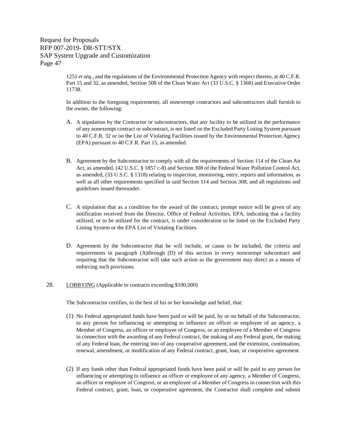> 1251 *et seq.*, and the regulations of the Environmental Protection Agency with respect thereto, at 40 C.F.R. Part 15 and 32, as amended, Section 508 of the Clean Water Act (33 U.S.C. § 1368) and Executive Order 11738.

> In addition to the foregoing requirements, all nonexempt contractors and subcontractors shall furnish to the owner, the following:

- A. A stipulation by the Contractor or subcontractors, that any facility to be utilized in the performance of any nonexempt contract or subcontract, is not listed on the Excluded Party Listing System pursuant to 40 C.F.R. 32 or on the List of Violating Facilities issued by the Environmental Protection Agency (EPA) pursuant to 40 C.F.R. Part 15, as amended.
- B. Agreement by the Subcontractor to comply with all the requirements of Section 114 of the Clean Air Act, as amended, (42 U.S.C. § 1857 c-8) and Section 308 of the Federal Water Pollution Control Act, as amended, (33 U.S.C. § 1318) relating to inspection, monitoring, entry, reports and information, as well as all other requirements specified in said Section 114 and Section 308, and all regulations and guidelines issued thereunder.
- C. A stipulation that as a condition for the award of the contract, prompt notice will be given of any notification received from the Director, Office of Federal Activities, EPA, indicating that a facility utilized, or to be utilized for the contract, is under consideration to be listed on the Excluded Party Listing System or the EPA List of Violating Facilities.
- D. Agreement by the Subcontractor that he will include, or cause to be included, the criteria and requirements in paragraph (A)through (D) of this section in every nonexempt subcontract and requiring that the Subcontractor will take such action as the government may direct as a means of enforcing such provisions.
- 28. LOBBYING (Applicable to contracts exceeding \$100,000)

The Subcontractor certifies, to the best of his or her knowledge and belief, that:

- (1) No Federal appropriated funds have been paid or will be paid, by or on behalf of the Subcontractor, to any person for influencing or attempting to influence an officer or employee of an agency, a Member of Congress, an officer or employee of Congress, or an employee of a Member of Congress in connection with the awarding of any Federal contract, the making of any Federal grant, the making of any Federal loan, the entering into of any cooperative agreement, and the extension, continuation, renewal, amendment, or modification of any Federal contract, grant, loan, or cooperative agreement.
- (2) If any funds other than Federal appropriated funds have been paid or will be paid to any person for influencing or attempting to influence an officer or employee of any agency, a Member of Congress, an officer or employee of Congress, or an employee of a Member of Congress in connection with this Federal contract, grant, loan, or cooperative agreement, the Contractor shall complete and submit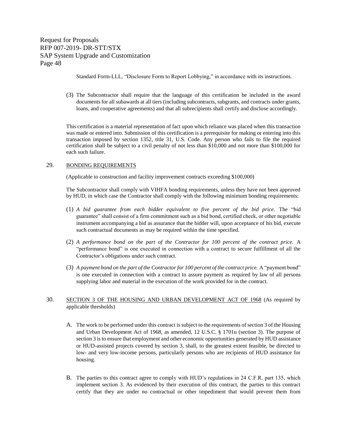Standard Form-LLL, "Disclosure Form to Report Lobbying," in accordance with its instructions.

(3) The Subcontractor shall require that the language of this certification be included in the award documents for all subawards at all tiers (including subcontracts, subgrants, and contracts under grants, loans, and cooperative agreements) and that all subrecipients shall certify and disclose accordingly.

This certification is a material representation of fact upon which reliance was placed when this transaction was made or entered into. Submission of this certification is a prerequisite for making or entering into this transaction imposed by section 1352, title 31, U.S. Code. Any person who fails to file the required certification shall be subject to a civil penalty of not less than \$10,000 and not more than \$100,000 for each such failure.

#### 29. BONDING REQUIREMENTS

(Applicable to construction and facility improvement contracts exceeding \$100,000)

The Subcontractor shall comply with VIHFA bonding requirements, unless they have not been approved by HUD, in which case the Contractor shall comply with the following minimum bonding requirements:

- (1) *A bid guarantee from each bidder equivalent to five percent of the bid price.* The "bid guarantee" shall consist of a firm commitment such as a bid bond, certified check, or other negotiable instrument accompanying a bid as assurance that the bidder will, upon acceptance of his bid, execute such contractual documents as may be required within the time specified.
- (2) *A performance bond on the part of the Contractor for 100 percent of the contract price.* A "performance bond" is one executed in connection with a contract to secure fulfillment of all the Contractor's obligations under such contract.
- (3) *A payment bond on the part of the Contractor for 100 percent of the contract price.* A "payment bond" is one executed in connection with a contract to assure payment as required by law of all persons supplying labor and material in the execution of the work provided for in the contract.

#### 30. SECTION 3 OF THE HOUSING AND URBAN DEVELOPMENT ACT OF 1968 (As required by applicable thresholds)

- A. The work to be performed under this contract is subject to the requirements of section 3 of the Housing and Urban Development Act of 1968, as amended, 12 U.S.C. § 1701u (section 3). The purpose of section 3 is to ensure that employment and other economic opportunities generated by HUD assistance or HUD-assisted projects covered by section 3, shall, to the greatest extent feasible, be directed to low- and very low-income persons, particularly persons who are recipients of HUD assistance for housing.
- B. The parties to this contract agree to comply with HUD's regulations in 24 C.F.R. part 135, which implement section 3. As evidenced by their execution of this contract, the parties to this contract certify that they are under no contractual or other impediment that would prevent them from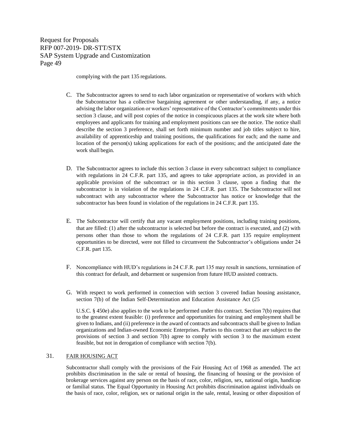complying with the part 135 regulations.

- C. The Subcontractor agrees to send to each labor organization or representative of workers with which the Subcontractor has a collective bargaining agreement or other understanding, if any, a notice advising the labor organization or workers' representative of the Contractor's commitments under this section 3 clause, and will post copies of the notice in conspicuous places at the work site where both employees and applicants for training and employment positions can see the notice. The notice shall describe the section 3 preference, shall set forth minimum number and job titles subject to hire, availability of apprenticeship and training positions, the qualifications for each; and the name and location of the person(s) taking applications for each of the positions; and the anticipated date the work shall begin.
- D. The Subcontractor agrees to include this section 3 clause in every subcontract subject to compliance with regulations in 24 C.F.R. part 135, and agrees to take appropriate action, as provided in an applicable provision of the subcontract or in this section 3 clause, upon a finding that the subcontractor is in violation of the regulations in 24 C.F.R. part 135. The Subcontractor will not subcontract with any subcontractor where the Subcontractor has notice or knowledge that the subcontractor has been found in violation of the regulations in 24 C.F.R. part 135.
- E. The Subcontractor will certify that any vacant employment positions, including training positions, that are filled: (1) after the subcontractor is selected but before the contract is executed, and (2) with persons other than those to whom the regulations of 24 C.F.R. part 135 require employment opportunities to be directed, were not filled to circumvent the Subcontractor's obligations under 24 C.F.R. part 135.
- F. Noncompliance with HUD's regulations in 24 C.F.R. part 135 may result in sanctions, termination of this contract for default, and debarment or suspension from future HUD assisted contracts.
- G. With respect to work performed in connection with section 3 covered Indian housing assistance, section 7(b) of the Indian Self-Determination and Education Assistance Act (25

U.S.C. § 450e) also applies to the work to be performed under this contract. Section 7(b) requires that to the greatest extent feasible: (i) preference and opportunities for training and employment shall be given to Indians, and (ii) preference in the award of contracts and subcontracts shall be given to Indian organizations and Indian-owned Economic Enterprises. Parties to this contract that are subject to the provisions of section 3 and section 7(b) agree to comply with section 3 to the maximum extent feasible, but not in derogation of compliance with section 7(b).

#### 31. FAIR HOUSING ACT

Subcontractor shall comply with the provisions of the Fair Housing Act of 1968 as amended. The act prohibits discrimination in the sale or rental of housing, the financing of housing or the provision of brokerage services against any person on the basis of race, color, religion, sex, national origin, handicap or familial status. The Equal Opportunity in Housing Act prohibits discrimination against individuals on the basis of race, color, religion, sex or national origin in the sale, rental, leasing or other disposition of